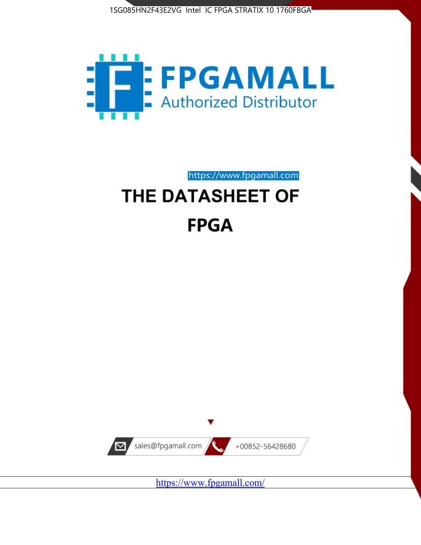



https://www.fpgamall.com

# THE DATASHEET OF **FPGA**



<https://www.fpgamall.com/>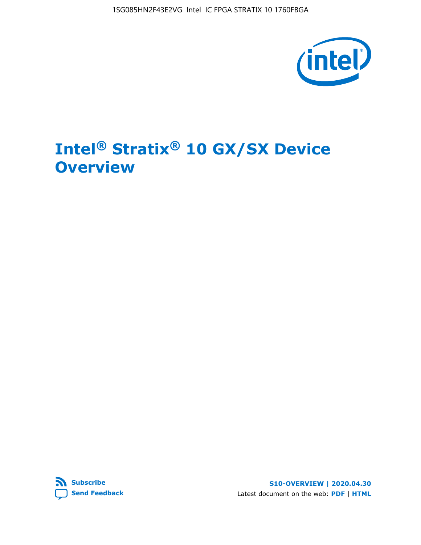

# **Intel® Stratix® 10 GX/SX Device Overview**



**S10-OVERVIEW | 2020.04.30** Latest document on the web: **[PDF](https://www.intel.com/content/dam/www/programmable/us/en/pdfs/literature/hb/stratix-10/s10-overview.pdf)** | **[HTML](https://www.intel.com/content/www/us/en/programmable/documentation/joc1442261161666.html)**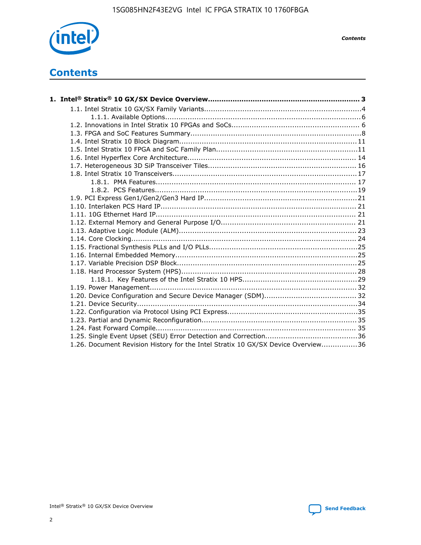

*Contents*

# **Contents**

| 1.26. Document Revision History for the Intel Stratix 10 GX/SX Device Overview36 |  |
|----------------------------------------------------------------------------------|--|

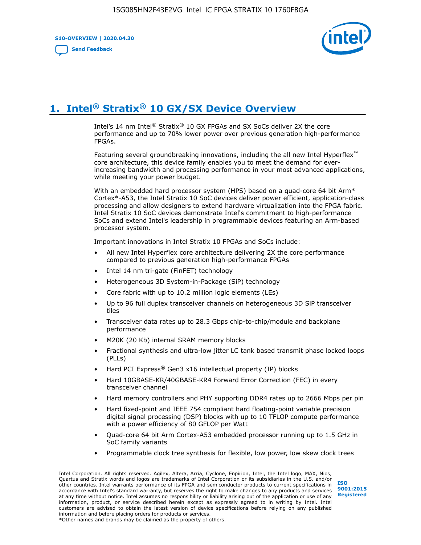**S10-OVERVIEW | 2020.04.30**

**[Send Feedback](mailto:FPGAtechdocfeedback@intel.com?subject=Feedback%20on%20Intel%20Stratix%2010%20GX/SX%20Device%20Overview%20(S10-OVERVIEW%202020.04.30)&body=We%20appreciate%20your%20feedback.%20In%20your%20comments,%20also%20specify%20the%20page%20number%20or%20paragraph.%20Thank%20you.)**



# **1. Intel® Stratix® 10 GX/SX Device Overview**

Intel's 14 nm Intel® Stratix® 10 GX FPGAs and SX SoCs deliver 2X the core performance and up to 70% lower power over previous generation high-performance FPGAs.

Featuring several groundbreaking innovations, including the all new Intel Hyperflex™ core architecture, this device family enables you to meet the demand for everincreasing bandwidth and processing performance in your most advanced applications, while meeting your power budget.

With an embedded hard processor system (HPS) based on a quad-core 64 bit Arm\* Cortex\*-A53, the Intel Stratix 10 SoC devices deliver power efficient, application-class processing and allow designers to extend hardware virtualization into the FPGA fabric. Intel Stratix 10 SoC devices demonstrate Intel's commitment to high-performance SoCs and extend Intel's leadership in programmable devices featuring an Arm-based processor system.

Important innovations in Intel Stratix 10 FPGAs and SoCs include:

- All new Intel Hyperflex core architecture delivering 2X the core performance compared to previous generation high-performance FPGAs
- Intel 14 nm tri-gate (FinFET) technology
- Heterogeneous 3D System-in-Package (SiP) technology
- Core fabric with up to 10.2 million logic elements (LEs)
- Up to 96 full duplex transceiver channels on heterogeneous 3D SiP transceiver tiles
- Transceiver data rates up to 28.3 Gbps chip-to-chip/module and backplane performance
- M20K (20 Kb) internal SRAM memory blocks
- Fractional synthesis and ultra-low jitter LC tank based transmit phase locked loops (PLLs)
- Hard PCI Express<sup>®</sup> Gen3 x16 intellectual property (IP) blocks
- Hard 10GBASE-KR/40GBASE-KR4 Forward Error Correction (FEC) in every transceiver channel
- Hard memory controllers and PHY supporting DDR4 rates up to 2666 Mbps per pin
- Hard fixed-point and IEEE 754 compliant hard floating-point variable precision digital signal processing (DSP) blocks with up to 10 TFLOP compute performance with a power efficiency of 80 GFLOP per Watt
- Quad-core 64 bit Arm Cortex-A53 embedded processor running up to 1.5 GHz in SoC family variants
- Programmable clock tree synthesis for flexible, low power, low skew clock trees

Intel Corporation. All rights reserved. Agilex, Altera, Arria, Cyclone, Enpirion, Intel, the Intel logo, MAX, Nios, Quartus and Stratix words and logos are trademarks of Intel Corporation or its subsidiaries in the U.S. and/or other countries. Intel warrants performance of its FPGA and semiconductor products to current specifications in accordance with Intel's standard warranty, but reserves the right to make changes to any products and services at any time without notice. Intel assumes no responsibility or liability arising out of the application or use of any information, product, or service described herein except as expressly agreed to in writing by Intel. Intel customers are advised to obtain the latest version of device specifications before relying on any published information and before placing orders for products or services. \*Other names and brands may be claimed as the property of others.

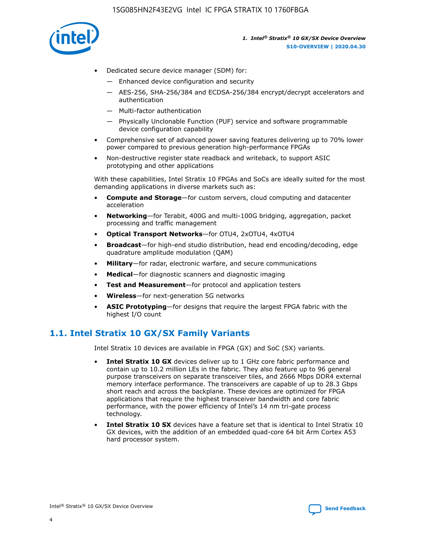

- Dedicated secure device manager (SDM) for:
	- Enhanced device configuration and security
	- AES-256, SHA-256/384 and ECDSA-256/384 encrypt/decrypt accelerators and authentication
	- Multi-factor authentication
	- Physically Unclonable Function (PUF) service and software programmable device configuration capability
- Comprehensive set of advanced power saving features delivering up to 70% lower power compared to previous generation high-performance FPGAs
- Non-destructive register state readback and writeback, to support ASIC prototyping and other applications

With these capabilities, Intel Stratix 10 FPGAs and SoCs are ideally suited for the most demanding applications in diverse markets such as:

- **Compute and Storage**—for custom servers, cloud computing and datacenter acceleration
- **Networking**—for Terabit, 400G and multi-100G bridging, aggregation, packet processing and traffic management
- **Optical Transport Networks**—for OTU4, 2xOTU4, 4xOTU4
- **Broadcast**—for high-end studio distribution, head end encoding/decoding, edge quadrature amplitude modulation (QAM)
- **Military**—for radar, electronic warfare, and secure communications
- **Medical**—for diagnostic scanners and diagnostic imaging
- **Test and Measurement**—for protocol and application testers
- **Wireless**—for next-generation 5G networks
- **ASIC Prototyping**—for designs that require the largest FPGA fabric with the highest I/O count

## **1.1. Intel Stratix 10 GX/SX Family Variants**

Intel Stratix 10 devices are available in FPGA (GX) and SoC (SX) variants.

- **Intel Stratix 10 GX** devices deliver up to 1 GHz core fabric performance and contain up to 10.2 million LEs in the fabric. They also feature up to 96 general purpose transceivers on separate transceiver tiles, and 2666 Mbps DDR4 external memory interface performance. The transceivers are capable of up to 28.3 Gbps short reach and across the backplane. These devices are optimized for FPGA applications that require the highest transceiver bandwidth and core fabric performance, with the power efficiency of Intel's 14 nm tri-gate process technology.
- **Intel Stratix 10 SX** devices have a feature set that is identical to Intel Stratix 10 GX devices, with the addition of an embedded quad-core 64 bit Arm Cortex A53 hard processor system.

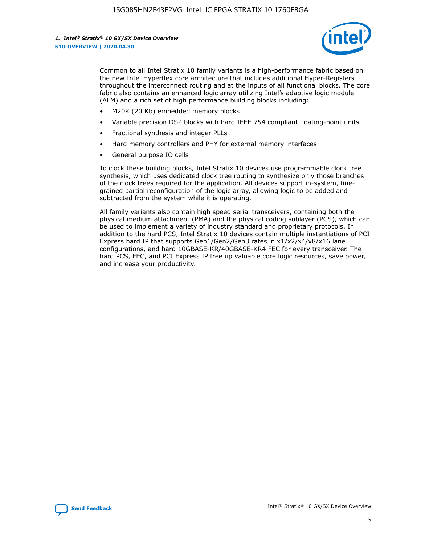

Common to all Intel Stratix 10 family variants is a high-performance fabric based on the new Intel Hyperflex core architecture that includes additional Hyper-Registers throughout the interconnect routing and at the inputs of all functional blocks. The core fabric also contains an enhanced logic array utilizing Intel's adaptive logic module (ALM) and a rich set of high performance building blocks including:

- M20K (20 Kb) embedded memory blocks
- Variable precision DSP blocks with hard IEEE 754 compliant floating-point units
- Fractional synthesis and integer PLLs
- Hard memory controllers and PHY for external memory interfaces
- General purpose IO cells

To clock these building blocks, Intel Stratix 10 devices use programmable clock tree synthesis, which uses dedicated clock tree routing to synthesize only those branches of the clock trees required for the application. All devices support in-system, finegrained partial reconfiguration of the logic array, allowing logic to be added and subtracted from the system while it is operating.

All family variants also contain high speed serial transceivers, containing both the physical medium attachment (PMA) and the physical coding sublayer (PCS), which can be used to implement a variety of industry standard and proprietary protocols. In addition to the hard PCS, Intel Stratix 10 devices contain multiple instantiations of PCI Express hard IP that supports Gen1/Gen2/Gen3 rates in x1/x2/x4/x8/x16 lane configurations, and hard 10GBASE-KR/40GBASE-KR4 FEC for every transceiver. The hard PCS, FEC, and PCI Express IP free up valuable core logic resources, save power, and increase your productivity.

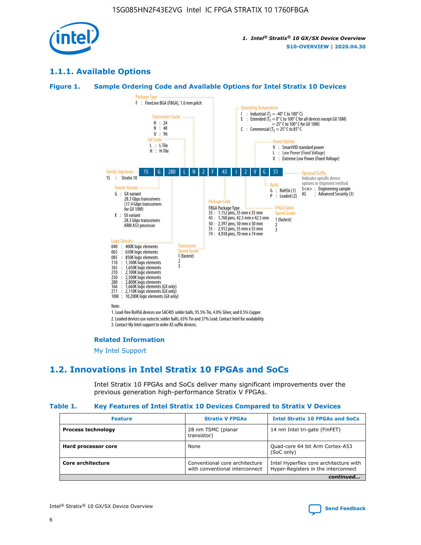

## **1.1.1. Available Options**

#### **Figure 1. Sample Ordering Code and Available Options for Intel Stratix 10 Devices**



#### **Related Information**

[My Intel Support](https://www.intel.com/content/www/us/en/programmable/my-intel/mal-home.html)

## **1.2. Innovations in Intel Stratix 10 FPGAs and SoCs**

Intel Stratix 10 FPGAs and SoCs deliver many significant improvements over the previous generation high-performance Stratix V FPGAs.

#### **Table 1. Key Features of Intel Stratix 10 Devices Compared to Stratix V Devices**

| <b>Feature</b>            | <b>Stratix V FPGAs</b>                                           | <b>Intel Stratix 10 FPGAs and SoCs</b>                                        |
|---------------------------|------------------------------------------------------------------|-------------------------------------------------------------------------------|
| <b>Process technology</b> | 28 nm TSMC (planar<br>transistor)                                | 14 nm Intel tri-gate (FinFET)                                                 |
| Hard processor core       | None                                                             | Quad-core 64 bit Arm Cortex-A53<br>(SoC only)                                 |
| Core architecture         | Conventional core architecture<br>with conventional interconnect | Intel Hyperflex core architecture with<br>Hyper-Registers in the interconnect |
|                           |                                                                  | continued                                                                     |

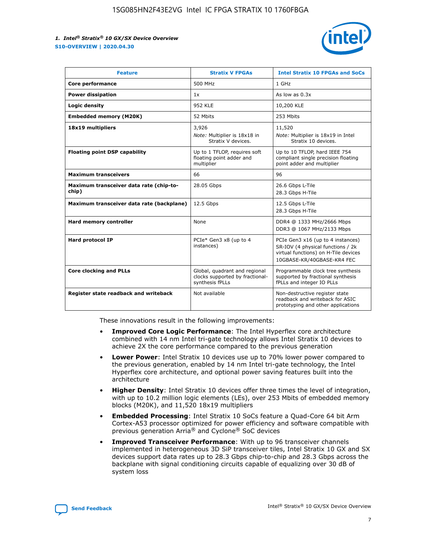

| <b>Feature</b>                                   | <b>Stratix V FPGAs</b>                                                              | <b>Intel Stratix 10 FPGAs and SoCs</b>                                                                                                       |
|--------------------------------------------------|-------------------------------------------------------------------------------------|----------------------------------------------------------------------------------------------------------------------------------------------|
| Core performance                                 | 500 MHz                                                                             | 1 GHz                                                                                                                                        |
| <b>Power dissipation</b>                         | 1x                                                                                  | As low as $0.3x$                                                                                                                             |
| Logic density                                    | 952 KLE                                                                             | 10,200 KLE                                                                                                                                   |
| <b>Embedded memory (M20K)</b>                    | 52 Mbits                                                                            | 253 Mbits                                                                                                                                    |
| 18x19 multipliers                                | 3,926                                                                               | 11,520                                                                                                                                       |
|                                                  | Note: Multiplier is 18x18 in<br>Stratix V devices.                                  | Note: Multiplier is 18x19 in Intel<br>Stratix 10 devices.                                                                                    |
| <b>Floating point DSP capability</b>             | Up to 1 TFLOP, requires soft<br>floating point adder and<br>multiplier              | Up to 10 TFLOP, hard IEEE 754<br>compliant single precision floating<br>point adder and multiplier                                           |
| <b>Maximum transceivers</b>                      | 66                                                                                  | 96                                                                                                                                           |
| Maximum transceiver data rate (chip-to-<br>chip) | 28.05 Gbps                                                                          | 26.6 Gbps L-Tile<br>28.3 Gbps H-Tile                                                                                                         |
| Maximum transceiver data rate (backplane)        | 12.5 Gbps                                                                           | 12.5 Gbps L-Tile<br>28.3 Gbps H-Tile                                                                                                         |
| Hard memory controller                           | None                                                                                | DDR4 @ 1333 MHz/2666 Mbps<br>DDR3 @ 1067 MHz/2133 Mbps                                                                                       |
| <b>Hard protocol IP</b>                          | PCIe* Gen3 x8 (up to 4<br>instances)                                                | PCIe Gen3 x16 (up to 4 instances)<br>SR-IOV (4 physical functions / 2k<br>virtual functions) on H-Tile devices<br>10GBASE-KR/40GBASE-KR4 FEC |
| <b>Core clocking and PLLs</b>                    | Global, quadrant and regional<br>clocks supported by fractional-<br>synthesis fPLLs | Programmable clock tree synthesis<br>supported by fractional synthesis<br>fPLLs and integer IO PLLs                                          |
| Register state readback and writeback            | Not available                                                                       | Non-destructive register state<br>readback and writeback for ASIC<br>prototyping and other applications                                      |

These innovations result in the following improvements:

- **Improved Core Logic Performance**: The Intel Hyperflex core architecture combined with 14 nm Intel tri-gate technology allows Intel Stratix 10 devices to achieve 2X the core performance compared to the previous generation
- **Lower Power**: Intel Stratix 10 devices use up to 70% lower power compared to the previous generation, enabled by 14 nm Intel tri-gate technology, the Intel Hyperflex core architecture, and optional power saving features built into the architecture
- **Higher Density**: Intel Stratix 10 devices offer three times the level of integration, with up to 10.2 million logic elements (LEs), over 253 Mbits of embedded memory blocks (M20K), and 11,520 18x19 multipliers
- **Embedded Processing**: Intel Stratix 10 SoCs feature a Quad-Core 64 bit Arm Cortex-A53 processor optimized for power efficiency and software compatible with previous generation Arria® and Cyclone® SoC devices
- **Improved Transceiver Performance**: With up to 96 transceiver channels implemented in heterogeneous 3D SiP transceiver tiles, Intel Stratix 10 GX and SX devices support data rates up to 28.3 Gbps chip-to-chip and 28.3 Gbps across the backplane with signal conditioning circuits capable of equalizing over 30 dB of system loss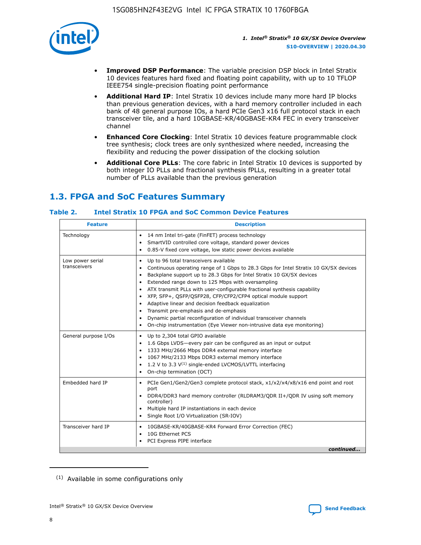

- **Improved DSP Performance**: The variable precision DSP block in Intel Stratix 10 devices features hard fixed and floating point capability, with up to 10 TFLOP IEEE754 single-precision floating point performance
- **Additional Hard IP**: Intel Stratix 10 devices include many more hard IP blocks than previous generation devices, with a hard memory controller included in each bank of 48 general purpose IOs, a hard PCIe Gen3 x16 full protocol stack in each transceiver tile, and a hard 10GBASE-KR/40GBASE-KR4 FEC in every transceiver channel
- **Enhanced Core Clocking**: Intel Stratix 10 devices feature programmable clock tree synthesis; clock trees are only synthesized where needed, increasing the flexibility and reducing the power dissipation of the clocking solution
- **Additional Core PLLs**: The core fabric in Intel Stratix 10 devices is supported by both integer IO PLLs and fractional synthesis fPLLs, resulting in a greater total number of PLLs available than the previous generation

## **1.3. FPGA and SoC Features Summary**

## **Table 2. Intel Stratix 10 FPGA and SoC Common Device Features**

| <b>Feature</b>                   | <b>Description</b>                                                                                                                                                                                                                                                                                                                                                                                                                                                                                                                                                                                                                                                                                                         |
|----------------------------------|----------------------------------------------------------------------------------------------------------------------------------------------------------------------------------------------------------------------------------------------------------------------------------------------------------------------------------------------------------------------------------------------------------------------------------------------------------------------------------------------------------------------------------------------------------------------------------------------------------------------------------------------------------------------------------------------------------------------------|
| Technology                       | 14 nm Intel tri-gate (FinFET) process technology<br>$\bullet$<br>SmartVID controlled core voltage, standard power devices<br>0.85-V fixed core voltage, low static power devices available<br>$\bullet$                                                                                                                                                                                                                                                                                                                                                                                                                                                                                                                    |
| Low power serial<br>transceivers | Up to 96 total transceivers available<br>$\bullet$<br>Continuous operating range of 1 Gbps to 28.3 Gbps for Intel Stratix 10 GX/SX devices<br>Backplane support up to 28.3 Gbps for Intel Stratix 10 GX/SX devices<br>$\bullet$<br>Extended range down to 125 Mbps with oversampling<br>ATX transmit PLLs with user-configurable fractional synthesis capability<br>$\bullet$<br>• XFP, SFP+, QSFP/QSFP28, CFP/CFP2/CFP4 optical module support<br>• Adaptive linear and decision feedback equalization<br>Transmit pre-emphasis and de-emphasis<br>Dynamic partial reconfiguration of individual transceiver channels<br>$\bullet$<br>On-chip instrumentation (Eye Viewer non-intrusive data eye monitoring)<br>$\bullet$ |
| General purpose I/Os             | Up to 2,304 total GPIO available<br>$\bullet$<br>1.6 Gbps LVDS-every pair can be configured as an input or output<br>$\bullet$<br>1333 MHz/2666 Mbps DDR4 external memory interface<br>1067 MHz/2133 Mbps DDR3 external memory interface<br>• 1.2 V to 3.3 $V^{(1)}$ single-ended LVCMOS/LVTTL interfacing<br>On-chip termination (OCT)<br>$\bullet$                                                                                                                                                                                                                                                                                                                                                                       |
| Embedded hard IP                 | PCIe Gen1/Gen2/Gen3 complete protocol stack, x1/x2/x4/x8/x16 end point and root<br>$\bullet$<br>port<br>DDR4/DDR3 hard memory controller (RLDRAM3/QDR II+/QDR IV using soft memory<br>controller)<br>• Multiple hard IP instantiations in each device<br>• Single Root I/O Virtualization (SR-IOV)                                                                                                                                                                                                                                                                                                                                                                                                                         |
| Transceiver hard IP              | 10GBASE-KR/40GBASE-KR4 Forward Error Correction (FEC)<br>$\bullet$<br>10G Ethernet PCS<br>$\bullet$<br>PCI Express PIPE interface<br>$\bullet$<br>continued                                                                                                                                                                                                                                                                                                                                                                                                                                                                                                                                                                |

<sup>(1)</sup> Available in some configurations only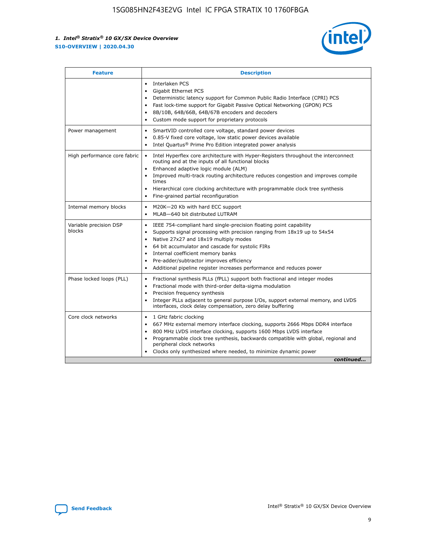

| <b>Feature</b>                   | <b>Description</b>                                                                                                                                                                                                                                                                                                                                                                                                                                                    |  |  |  |
|----------------------------------|-----------------------------------------------------------------------------------------------------------------------------------------------------------------------------------------------------------------------------------------------------------------------------------------------------------------------------------------------------------------------------------------------------------------------------------------------------------------------|--|--|--|
|                                  | Interlaken PCS<br>$\bullet$<br>Gigabit Ethernet PCS<br>$\bullet$<br>Deterministic latency support for Common Public Radio Interface (CPRI) PCS<br>$\bullet$<br>Fast lock-time support for Gigabit Passive Optical Networking (GPON) PCS<br>$\bullet$<br>8B/10B, 64B/66B, 64B/67B encoders and decoders<br>$\bullet$<br>Custom mode support for proprietary protocols<br>$\bullet$                                                                                     |  |  |  |
| Power management                 | SmartVID controlled core voltage, standard power devices<br>$\bullet$<br>0.85-V fixed core voltage, low static power devices available<br>$\bullet$<br>Intel Quartus <sup>®</sup> Prime Pro Edition integrated power analysis<br>$\bullet$                                                                                                                                                                                                                            |  |  |  |
| High performance core fabric     | Intel Hyperflex core architecture with Hyper-Registers throughout the interconnect<br>$\bullet$<br>routing and at the inputs of all functional blocks<br>Enhanced adaptive logic module (ALM)<br>$\bullet$<br>Improved multi-track routing architecture reduces congestion and improves compile<br>times<br>Hierarchical core clocking architecture with programmable clock tree synthesis<br>Fine-grained partial reconfiguration                                    |  |  |  |
| Internal memory blocks           | M20K-20 Kb with hard ECC support<br>٠<br>MLAB-640 bit distributed LUTRAM<br>$\bullet$                                                                                                                                                                                                                                                                                                                                                                                 |  |  |  |
| Variable precision DSP<br>blocks | IEEE 754-compliant hard single-precision floating point capability<br>$\bullet$<br>Supports signal processing with precision ranging from 18x19 up to 54x54<br>$\bullet$<br>Native 27x27 and 18x19 multiply modes<br>$\bullet$<br>64 bit accumulator and cascade for systolic FIRs<br>Internal coefficient memory banks<br>Pre-adder/subtractor improves efficiency<br>$\bullet$<br>Additional pipeline register increases performance and reduces power<br>$\bullet$ |  |  |  |
| Phase locked loops (PLL)         | Fractional synthesis PLLs (fPLL) support both fractional and integer modes<br>$\bullet$<br>Fractional mode with third-order delta-sigma modulation<br>Precision frequency synthesis<br>$\bullet$<br>Integer PLLs adjacent to general purpose I/Os, support external memory, and LVDS<br>$\bullet$<br>interfaces, clock delay compensation, zero delay buffering                                                                                                       |  |  |  |
| Core clock networks              | 1 GHz fabric clocking<br>$\bullet$<br>667 MHz external memory interface clocking, supports 2666 Mbps DDR4 interface<br>$\bullet$<br>800 MHz LVDS interface clocking, supports 1600 Mbps LVDS interface<br>$\bullet$<br>Programmable clock tree synthesis, backwards compatible with global, regional and<br>$\bullet$<br>peripheral clock networks<br>Clocks only synthesized where needed, to minimize dynamic power<br>continued                                    |  |  |  |

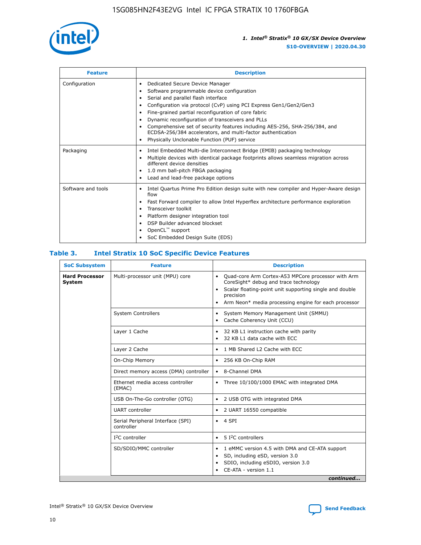

| <b>Feature</b>     | <b>Description</b>                                                                                                                                                                                                                                                                                                                                                                                                                                                                                                                                      |
|--------------------|---------------------------------------------------------------------------------------------------------------------------------------------------------------------------------------------------------------------------------------------------------------------------------------------------------------------------------------------------------------------------------------------------------------------------------------------------------------------------------------------------------------------------------------------------------|
| Configuration      | Dedicated Secure Device Manager<br>٠<br>Software programmable device configuration<br>٠<br>Serial and parallel flash interface<br>$\bullet$<br>Configuration via protocol (CvP) using PCI Express Gen1/Gen2/Gen3<br>٠<br>Fine-grained partial reconfiguration of core fabric<br>$\bullet$<br>Dynamic reconfiguration of transceivers and PLLs<br>$\bullet$<br>Comprehensive set of security features including AES-256, SHA-256/384, and<br>ECDSA-256/384 accelerators, and multi-factor authentication<br>Physically Unclonable Function (PUF) service |
| Packaging          | Intel Embedded Multi-die Interconnect Bridge (EMIB) packaging technology<br>$\bullet$<br>Multiple devices with identical package footprints allows seamless migration across<br>$\bullet$<br>different device densities<br>1.0 mm ball-pitch FBGA packaging<br>$\bullet$<br>Lead and lead-free package options                                                                                                                                                                                                                                          |
| Software and tools | Intel Quartus Prime Pro Edition design suite with new compiler and Hyper-Aware design<br>flow<br>Fast Forward compiler to allow Intel Hyperflex architecture performance exploration<br>$\bullet$<br>Transceiver toolkit<br>$\bullet$<br>Platform designer integration tool<br>$\bullet$<br>DSP Builder advanced blockset<br>OpenCL™ support<br>SoC Embedded Design Suite (EDS)                                                                                                                                                                         |

## **Table 3. Intel Stratix 10 SoC Specific Device Features**

| <b>Hard Processor</b> | Multi-processor unit (MPU) core                 |                                                                                                                                                                                                                                                                    |  |  |
|-----------------------|-------------------------------------------------|--------------------------------------------------------------------------------------------------------------------------------------------------------------------------------------------------------------------------------------------------------------------|--|--|
| System                |                                                 | Quad-core Arm Cortex-A53 MPCore processor with Arm<br>$\bullet$<br>CoreSight* debug and trace technology<br>Scalar floating-point unit supporting single and double<br>$\bullet$<br>precision<br>Arm Neon* media processing engine for each processor<br>$\bullet$ |  |  |
|                       | <b>System Controllers</b>                       | System Memory Management Unit (SMMU)<br>٠<br>Cache Coherency Unit (CCU)<br>$\bullet$                                                                                                                                                                               |  |  |
|                       | Layer 1 Cache                                   | 32 KB L1 instruction cache with parity<br>$\bullet$<br>32 KB L1 data cache with ECC<br>$\bullet$                                                                                                                                                                   |  |  |
|                       | Layer 2 Cache                                   | 1 MB Shared L2 Cache with ECC<br>$\bullet$                                                                                                                                                                                                                         |  |  |
|                       | On-Chip Memory                                  | 256 KB On-Chip RAM<br>٠                                                                                                                                                                                                                                            |  |  |
|                       | Direct memory access (DMA) controller           | • 8-Channel DMA                                                                                                                                                                                                                                                    |  |  |
|                       | Ethernet media access controller<br>(EMAC)      | Three 10/100/1000 EMAC with integrated DMA<br>$\bullet$                                                                                                                                                                                                            |  |  |
|                       | USB On-The-Go controller (OTG)                  | 2 USB OTG with integrated DMA<br>٠                                                                                                                                                                                                                                 |  |  |
|                       | <b>UART</b> controller                          | 2 UART 16550 compatible<br>٠                                                                                                                                                                                                                                       |  |  |
|                       | Serial Peripheral Interface (SPI)<br>controller | $\bullet$ 4 SPI                                                                                                                                                                                                                                                    |  |  |
|                       | $I2C$ controller                                | 5 I <sup>2</sup> C controllers<br>$\bullet$                                                                                                                                                                                                                        |  |  |
|                       | SD/SDIO/MMC controller                          | 1 eMMC version 4.5 with DMA and CE-ATA support<br>٠<br>SD, including eSD, version 3.0<br>$\bullet$<br>SDIO, including eSDIO, version 3.0<br>CE-ATA - version 1.1<br>continued                                                                                      |  |  |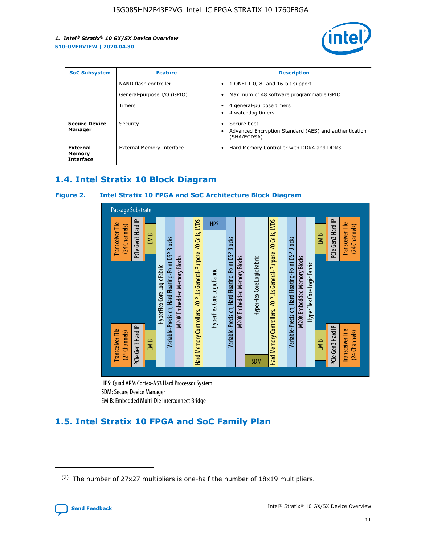

| <b>SoC Subsystem</b>                   | <b>Feature</b>             | <b>Description</b>                                                                               |  |  |
|----------------------------------------|----------------------------|--------------------------------------------------------------------------------------------------|--|--|
|                                        | NAND flash controller      | 1 ONFI 1.0, 8- and 16-bit support<br>$\bullet$                                                   |  |  |
|                                        | General-purpose I/O (GPIO) | Maximum of 48 software programmable GPIO<br>$\bullet$                                            |  |  |
|                                        | <b>Timers</b>              | 4 general-purpose timers<br>4 watchdog timers                                                    |  |  |
| <b>Secure Device</b><br>Manager        | Security                   | Secure boot<br>$\bullet$<br>Advanced Encryption Standard (AES) and authentication<br>(SHA/ECDSA) |  |  |
| External<br>Memory<br><b>Interface</b> | External Memory Interface  | Hard Memory Controller with DDR4 and DDR3<br>$\bullet$                                           |  |  |

## **1.4. Intel Stratix 10 Block Diagram**

## **Figure 2. Intel Stratix 10 FPGA and SoC Architecture Block Diagram**



HPS: Quad ARM Cortex-A53 Hard Processor System SDM: Secure Device Manager

## **1.5. Intel Stratix 10 FPGA and SoC Family Plan**

<sup>(2)</sup> The number of 27x27 multipliers is one-half the number of 18x19 multipliers.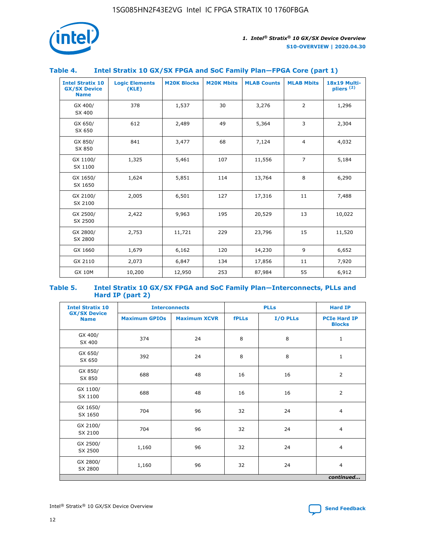

## **Table 4. Intel Stratix 10 GX/SX FPGA and SoC Family Plan—FPGA Core (part 1)**

| <b>Intel Stratix 10</b><br><b>GX/SX Device</b><br><b>Name</b> | <b>Logic Elements</b><br>(KLE) | <b>M20K Blocks</b> | <b>M20K Mbits</b> | <b>MLAB Counts</b> | <b>MLAB Mbits</b> | 18x19 Multi-<br>pliers <sup>(2)</sup> |
|---------------------------------------------------------------|--------------------------------|--------------------|-------------------|--------------------|-------------------|---------------------------------------|
| GX 400/<br>SX 400                                             | 378                            | 1,537              | 30                | 3,276              | $\overline{2}$    | 1,296                                 |
| GX 650/<br>SX 650                                             | 612                            | 2,489              | 49                | 5,364              | 3                 | 2,304                                 |
| GX 850/<br>SX 850                                             | 841                            | 3,477              | 68                | 7,124              | $\overline{4}$    | 4,032                                 |
| GX 1100/<br>SX 1100                                           | 1,325                          | 5,461              | 107               | 11,556             | $\overline{7}$    | 5,184                                 |
| GX 1650/<br>SX 1650                                           | 1,624                          | 5,851              | 114               | 13,764             | 8                 | 6,290                                 |
| GX 2100/<br>SX 2100                                           | 2,005                          | 6,501              | 127               | 17,316             | 11                | 7,488                                 |
| GX 2500/<br>SX 2500                                           | 2,422                          | 9,963              | 195               | 20,529             | 13                | 10,022                                |
| GX 2800/<br>SX 2800                                           | 2,753                          | 11,721             | 229               | 23,796             | 15                | 11,520                                |
| GX 1660                                                       | 1,679                          | 6,162              | 120               | 14,230             | 9                 | 6,652                                 |
| GX 2110                                                       | 2,073                          | 6,847              | 134               | 17,856             | 11                | 7,920                                 |
| <b>GX 10M</b>                                                 | 10,200                         | 12,950             | 253               | 87,984             | 55                | 6,912                                 |

#### **Table 5. Intel Stratix 10 GX/SX FPGA and SoC Family Plan—Interconnects, PLLs and Hard IP (part 2)**

| <b>Intel Stratix 10</b>            |                      | <b>PLLs</b><br><b>Interconnects</b> |              |          | <b>Hard IP</b>                       |  |
|------------------------------------|----------------------|-------------------------------------|--------------|----------|--------------------------------------|--|
| <b>GX/SX Device</b><br><b>Name</b> | <b>Maximum GPIOs</b> | <b>Maximum XCVR</b>                 | <b>fPLLs</b> | I/O PLLs | <b>PCIe Hard IP</b><br><b>Blocks</b> |  |
| GX 400/<br>SX 400                  | 374                  | 24                                  | 8            | 8        | $\mathbf{1}$                         |  |
| GX 650/<br>SX 650                  | 392                  | 24                                  | 8            | 8        | $\mathbf{1}$                         |  |
| GX 850/<br>SX 850                  | 688                  | 48                                  | 16           | 16       | 2                                    |  |
| GX 1100/<br>SX 1100                | 688                  | 48                                  | 16           | 16       | 2                                    |  |
| GX 1650/<br>SX 1650                | 704                  | 96                                  | 32           | 24       | $\overline{4}$                       |  |
| GX 2100/<br>SX 2100                | 704                  | 96                                  | 32           | 24       | 4                                    |  |
| GX 2500/<br>SX 2500                | 1,160                | 96                                  | 32           | 24       | $\overline{4}$                       |  |
| GX 2800/<br>SX 2800                | 1,160                | 96                                  | 32           | 24       | $\overline{4}$                       |  |
| continued                          |                      |                                     |              |          |                                      |  |

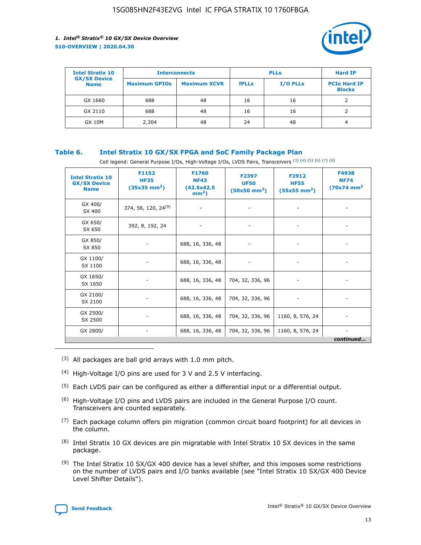

| <b>Intel Stratix 10</b>            | <b>Interconnects</b> |                     |              | <b>Hard IP</b> |                                      |
|------------------------------------|----------------------|---------------------|--------------|----------------|--------------------------------------|
| <b>GX/SX Device</b><br><b>Name</b> | <b>Maximum GPIOs</b> | <b>Maximum XCVR</b> | <b>fPLLs</b> | I/O PLLs       | <b>PCIe Hard IP</b><br><b>Blocks</b> |
| GX 1660                            | 688                  | 48                  | 16           | 16             |                                      |
| GX 2110                            | 688                  | 48                  | 16           | 16             |                                      |
| <b>GX 10M</b>                      | 2,304                | 48                  | 24           | 48             | 4                                    |

## **Table 6. Intel Stratix 10 GX/SX FPGA and SoC Family Package Plan**

Cell legend: General Purpose I/Os, High-Voltage I/Os, LVDS Pairs, Transceivers (3) (4) (5) (6) (7) (8)

| <b>Intel Stratix 10</b><br><b>GX/SX Device</b><br><b>Name</b> | F1152<br><b>HF35</b><br>$(35x35 \text{ mm}^2)$ | <b>F1760</b><br><b>NF43</b><br>(42.5x42.5<br>$mm2$ ) | F2397<br><b>UF50</b><br>$(50x50 \text{ mm}^2)$ | F2912<br><b>HF55</b><br>$(55x55 \text{ mm}^2)$ | F4938<br><b>NF74</b><br>$(70x74)$ mm <sup>2</sup> |
|---------------------------------------------------------------|------------------------------------------------|------------------------------------------------------|------------------------------------------------|------------------------------------------------|---------------------------------------------------|
| GX 400/<br>SX 400                                             | 374, 56, 120, 24 <sup>(9)</sup>                | $\overline{\phantom{a}}$                             | $\overline{\phantom{a}}$                       |                                                |                                                   |
| GX 650/<br>SX 650                                             | 392, 8, 192, 24                                | ٠                                                    | $\overline{\phantom{a}}$                       |                                                |                                                   |
| GX 850/<br>SX 850                                             |                                                | 688, 16, 336, 48                                     |                                                |                                                |                                                   |
| GX 1100/<br>SX 1100                                           |                                                | 688, 16, 336, 48                                     |                                                |                                                |                                                   |
| GX 1650/<br>SX 1650                                           |                                                | 688, 16, 336, 48                                     | 704, 32, 336, 96                               |                                                |                                                   |
| GX 2100/<br>SX 2100                                           |                                                | 688, 16, 336, 48                                     | 704, 32, 336, 96                               | -                                              | ۰                                                 |
| GX 2500/<br>SX 2500                                           |                                                | 688, 16, 336, 48                                     | 704, 32, 336, 96                               | 1160, 8, 576, 24                               |                                                   |
| GX 2800/                                                      | $\overline{\phantom{a}}$                       | 688, 16, 336, 48                                     | 704, 32, 336, 96                               | 1160, 8, 576, 24                               | ٠<br>continued                                    |

- (3) All packages are ball grid arrays with 1.0 mm pitch.
- (4) High-Voltage I/O pins are used for 3 V and 2.5 V interfacing.
- $(5)$  Each LVDS pair can be configured as either a differential input or a differential output.
- (6) High-Voltage I/O pins and LVDS pairs are included in the General Purpose I/O count. Transceivers are counted separately.
- $(7)$  Each package column offers pin migration (common circuit board footprint) for all devices in the column.
- $(8)$  Intel Stratix 10 GX devices are pin migratable with Intel Stratix 10 SX devices in the same package.
- $(9)$  The Intel Stratix 10 SX/GX 400 device has a level shifter, and this imposes some restrictions on the number of LVDS pairs and I/O banks available (see "Intel Stratix 10 SX/GX 400 Device Level Shifter Details").

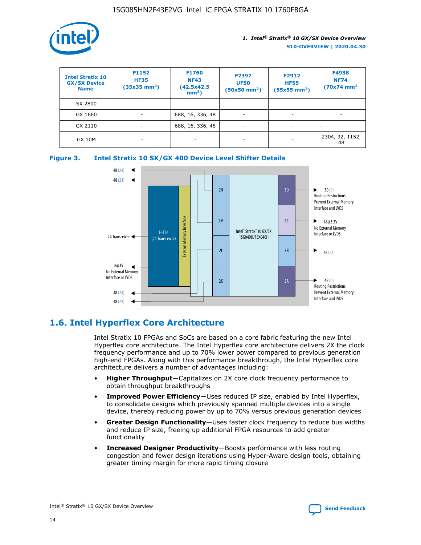

| <b>Intel Stratix 10</b><br><b>GX/SX Device</b><br><b>Name</b> | F1152<br><b>HF35</b><br>$(35x35 \text{ mm}^2)$ | <b>F1760</b><br><b>NF43</b><br>(42.5x42.5<br>$mm2$ ) | F2397<br><b>UF50</b><br>$(50x50 \text{ mm}^2)$ | F2912<br><b>HF55</b><br>$(55x55$ mm <sup>2</sup> ) | F4938<br><b>NF74</b><br>$(70x74)$ mm <sup>2</sup> |
|---------------------------------------------------------------|------------------------------------------------|------------------------------------------------------|------------------------------------------------|----------------------------------------------------|---------------------------------------------------|
| SX 2800                                                       |                                                |                                                      |                                                |                                                    |                                                   |
| GX 1660                                                       | ٠                                              | 688, 16, 336, 48                                     | ٠                                              |                                                    |                                                   |
| GX 2110                                                       |                                                | 688, 16, 336, 48                                     | $\overline{\phantom{a}}$                       |                                                    |                                                   |
| <b>GX 10M</b>                                                 | ۰                                              | -                                                    | -                                              |                                                    | 2304, 32, 1152,<br>48                             |





## **1.6. Intel Hyperflex Core Architecture**

Intel Stratix 10 FPGAs and SoCs are based on a core fabric featuring the new Intel Hyperflex core architecture. The Intel Hyperflex core architecture delivers 2X the clock frequency performance and up to 70% lower power compared to previous generation high-end FPGAs. Along with this performance breakthrough, the Intel Hyperflex core architecture delivers a number of advantages including:

- **Higher Throughput**—Capitalizes on 2X core clock frequency performance to obtain throughput breakthroughs
- **Improved Power Efficiency**—Uses reduced IP size, enabled by Intel Hyperflex, to consolidate designs which previously spanned multiple devices into a single device, thereby reducing power by up to 70% versus previous generation devices
- **Greater Design Functionality**—Uses faster clock frequency to reduce bus widths and reduce IP size, freeing up additional FPGA resources to add greater functionality
- **Increased Designer Productivity**—Boosts performance with less routing congestion and fewer design iterations using Hyper-Aware design tools, obtaining greater timing margin for more rapid timing closure

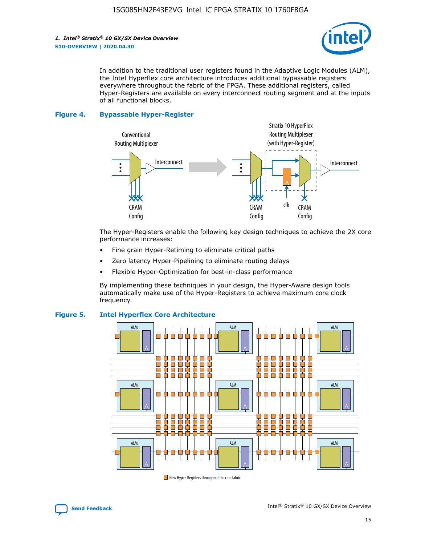

In addition to the traditional user registers found in the Adaptive Logic Modules (ALM), the Intel Hyperflex core architecture introduces additional bypassable registers everywhere throughout the fabric of the FPGA. These additional registers, called Hyper-Registers are available on every interconnect routing segment and at the inputs of all functional blocks.

#### **Figure 4. Bypassable Hyper-Register**



The Hyper-Registers enable the following key design techniques to achieve the 2X core performance increases:

- Fine grain Hyper-Retiming to eliminate critical paths
- Zero latency Hyper-Pipelining to eliminate routing delays
- Flexible Hyper-Optimization for best-in-class performance

By implementing these techniques in your design, the Hyper-Aware design tools automatically make use of the Hyper-Registers to achieve maximum core clock frequency.



## **Figure 5. Intel Hyperflex Core Architecture**

New Hyper-Registers throughout the core fabric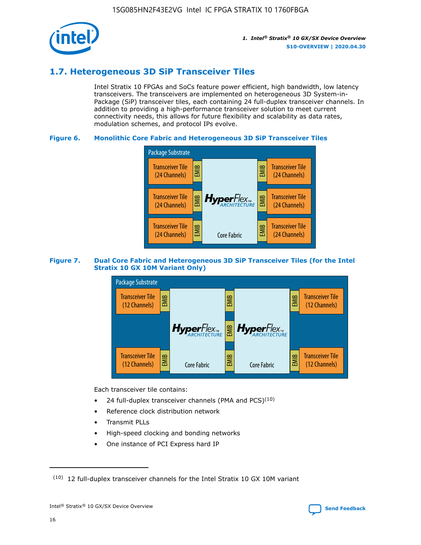

## **1.7. Heterogeneous 3D SiP Transceiver Tiles**

Intel Stratix 10 FPGAs and SoCs feature power efficient, high bandwidth, low latency transceivers. The transceivers are implemented on heterogeneous 3D System-in-Package (SiP) transceiver tiles, each containing 24 full-duplex transceiver channels. In addition to providing a high-performance transceiver solution to meet current connectivity needs, this allows for future flexibility and scalability as data rates, modulation schemes, and protocol IPs evolve.

## **Figure 6. Monolithic Core Fabric and Heterogeneous 3D SiP Transceiver Tiles**



## **Figure 7. Dual Core Fabric and Heterogeneous 3D SiP Transceiver Tiles (for the Intel Stratix 10 GX 10M Variant Only)**



Each transceiver tile contains:

- 24 full-duplex transceiver channels (PMA and PCS) $(10)$
- Reference clock distribution network
- Transmit PLLs
- High-speed clocking and bonding networks
- One instance of PCI Express hard IP



 $(10)$  12 full-duplex transceiver channels for the Intel Stratix 10 GX 10M variant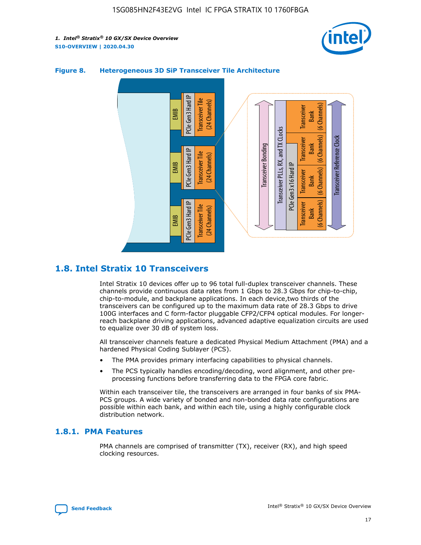



## **Figure 8. Heterogeneous 3D SiP Transceiver Tile Architecture**

## **1.8. Intel Stratix 10 Transceivers**

Intel Stratix 10 devices offer up to 96 total full-duplex transceiver channels. These channels provide continuous data rates from 1 Gbps to 28.3 Gbps for chip-to-chip, chip-to-module, and backplane applications. In each device,two thirds of the transceivers can be configured up to the maximum data rate of 28.3 Gbps to drive 100G interfaces and C form-factor pluggable CFP2/CFP4 optical modules. For longerreach backplane driving applications, advanced adaptive equalization circuits are used to equalize over 30 dB of system loss.

All transceiver channels feature a dedicated Physical Medium Attachment (PMA) and a hardened Physical Coding Sublayer (PCS).

- The PMA provides primary interfacing capabilities to physical channels.
- The PCS typically handles encoding/decoding, word alignment, and other preprocessing functions before transferring data to the FPGA core fabric.

Within each transceiver tile, the transceivers are arranged in four banks of six PMA-PCS groups. A wide variety of bonded and non-bonded data rate configurations are possible within each bank, and within each tile, using a highly configurable clock distribution network.

## **1.8.1. PMA Features**

PMA channels are comprised of transmitter (TX), receiver (RX), and high speed clocking resources.

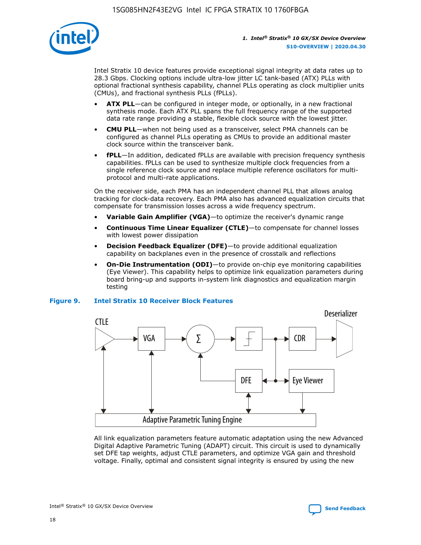

Intel Stratix 10 device features provide exceptional signal integrity at data rates up to 28.3 Gbps. Clocking options include ultra-low jitter LC tank-based (ATX) PLLs with optional fractional synthesis capability, channel PLLs operating as clock multiplier units (CMUs), and fractional synthesis PLLs (fPLLs).

- **ATX PLL**—can be configured in integer mode, or optionally, in a new fractional synthesis mode. Each ATX PLL spans the full frequency range of the supported data rate range providing a stable, flexible clock source with the lowest jitter.
- **CMU PLL**—when not being used as a transceiver, select PMA channels can be configured as channel PLLs operating as CMUs to provide an additional master clock source within the transceiver bank.
- **fPLL**—In addition, dedicated fPLLs are available with precision frequency synthesis capabilities. fPLLs can be used to synthesize multiple clock frequencies from a single reference clock source and replace multiple reference oscillators for multiprotocol and multi-rate applications.

On the receiver side, each PMA has an independent channel PLL that allows analog tracking for clock-data recovery. Each PMA also has advanced equalization circuits that compensate for transmission losses across a wide frequency spectrum.

- **Variable Gain Amplifier (VGA)**—to optimize the receiver's dynamic range
- **Continuous Time Linear Equalizer (CTLE)**—to compensate for channel losses with lowest power dissipation
- **Decision Feedback Equalizer (DFE)**—to provide additional equalization capability on backplanes even in the presence of crosstalk and reflections
- **On-Die Instrumentation (ODI)**—to provide on-chip eye monitoring capabilities (Eye Viewer). This capability helps to optimize link equalization parameters during board bring-up and supports in-system link diagnostics and equalization margin testing

#### **Figure 9. Intel Stratix 10 Receiver Block Features**



All link equalization parameters feature automatic adaptation using the new Advanced Digital Adaptive Parametric Tuning (ADAPT) circuit. This circuit is used to dynamically set DFE tap weights, adjust CTLE parameters, and optimize VGA gain and threshold voltage. Finally, optimal and consistent signal integrity is ensured by using the new



Intel<sup>®</sup> Stratix<sup>®</sup> 10 GX/SX Device Overview **[Send Feedback](mailto:FPGAtechdocfeedback@intel.com?subject=Feedback%20on%20Intel%20Stratix%2010%20GX/SX%20Device%20Overview%20(S10-OVERVIEW%202020.04.30)&body=We%20appreciate%20your%20feedback.%20In%20your%20comments,%20also%20specify%20the%20page%20number%20or%20paragraph.%20Thank%20you.)** Send Feedback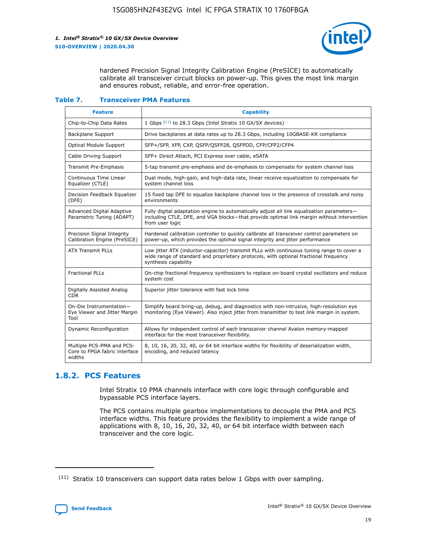

hardened Precision Signal Integrity Calibration Engine (PreSICE) to automatically calibrate all transceiver circuit blocks on power-up. This gives the most link margin and ensures robust, reliable, and error-free operation.

#### **Table 7. Transceiver PMA Features**

| <b>Feature</b>                                                       | <b>Capability</b>                                                                                                                                                                                         |
|----------------------------------------------------------------------|-----------------------------------------------------------------------------------------------------------------------------------------------------------------------------------------------------------|
| Chip-to-Chip Data Rates                                              | 1 Gbps (11) to 28.3 Gbps (Intel Stratix 10 GX/SX devices)                                                                                                                                                 |
| <b>Backplane Support</b>                                             | Drive backplanes at data rates up to 28.3 Gbps, including 10GBASE-KR compliance                                                                                                                           |
| Optical Module Support                                               | SFP+/SFP, XFP, CXP, QSFP/QSFP28, QSFPDD, CFP/CFP2/CFP4                                                                                                                                                    |
| Cable Driving Support                                                | SFP+ Direct Attach, PCI Express over cable, eSATA                                                                                                                                                         |
| <b>Transmit Pre-Emphasis</b>                                         | 5-tap transmit pre-emphasis and de-emphasis to compensate for system channel loss                                                                                                                         |
| Continuous Time Linear<br>Equalizer (CTLE)                           | Dual mode, high-gain, and high-data rate, linear receive equalization to compensate for<br>system channel loss                                                                                            |
| Decision Feedback Equalizer<br>(DFE)                                 | 15 fixed tap DFE to equalize backplane channel loss in the presence of crosstalk and noisy<br>environments                                                                                                |
| Advanced Digital Adaptive<br>Parametric Tuning (ADAPT)               | Fully digital adaptation engine to automatically adjust all link equalization parameters-<br>including CTLE, DFE, and VGA blocks-that provide optimal link margin without intervention<br>from user logic |
| Precision Signal Integrity<br>Calibration Engine (PreSICE)           | Hardened calibration controller to quickly calibrate all transceiver control parameters on<br>power-up, which provides the optimal signal integrity and jitter performance                                |
| <b>ATX Transmit PLLs</b>                                             | Low jitter ATX (inductor-capacitor) transmit PLLs with continuous tuning range to cover a<br>wide range of standard and proprietary protocols, with optional fractional frequency<br>synthesis capability |
| <b>Fractional PLLs</b>                                               | On-chip fractional frequency synthesizers to replace on-board crystal oscillators and reduce<br>system cost                                                                                               |
| Digitally Assisted Analog<br>CDR.                                    | Superior jitter tolerance with fast lock time                                                                                                                                                             |
| On-Die Instrumentation-<br>Eye Viewer and Jitter Margin<br>Tool      | Simplify board bring-up, debug, and diagnostics with non-intrusive, high-resolution eye<br>monitoring (Eye Viewer). Also inject jitter from transmitter to test link margin in system.                    |
| Dynamic Reconfiguration                                              | Allows for independent control of each transceiver channel Avalon memory-mapped<br>interface for the most transceiver flexibility.                                                                        |
| Multiple PCS-PMA and PCS-<br>Core to FPGA fabric interface<br>widths | 8, 10, 16, 20, 32, 40, or 64 bit interface widths for flexibility of deserialization width,<br>encoding, and reduced latency                                                                              |

## **1.8.2. PCS Features**

Intel Stratix 10 PMA channels interface with core logic through configurable and bypassable PCS interface layers.

The PCS contains multiple gearbox implementations to decouple the PMA and PCS interface widths. This feature provides the flexibility to implement a wide range of applications with 8, 10, 16, 20, 32, 40, or 64 bit interface width between each transceiver and the core logic.

 $(11)$  Stratix 10 transceivers can support data rates below 1 Gbps with over sampling.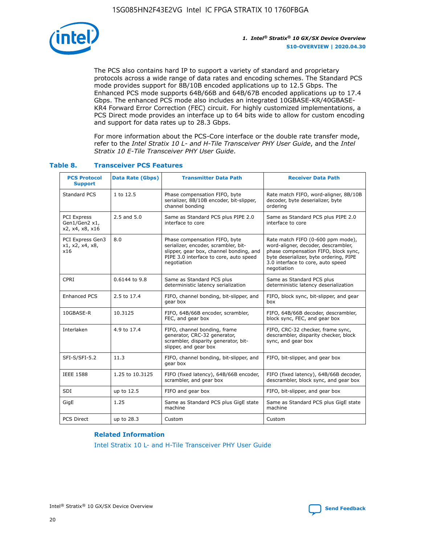

The PCS also contains hard IP to support a variety of standard and proprietary protocols across a wide range of data rates and encoding schemes. The Standard PCS mode provides support for 8B/10B encoded applications up to 12.5 Gbps. The Enhanced PCS mode supports 64B/66B and 64B/67B encoded applications up to 17.4 Gbps. The enhanced PCS mode also includes an integrated 10GBASE-KR/40GBASE-KR4 Forward Error Correction (FEC) circuit. For highly customized implementations, a PCS Direct mode provides an interface up to 64 bits wide to allow for custom encoding and support for data rates up to 28.3 Gbps.

For more information about the PCS-Core interface or the double rate transfer mode, refer to the *Intel Stratix 10 L- and H-Tile Transceiver PHY User Guide*, and the *Intel Stratix 10 E-Tile Transceiver PHY User Guide*.

| <b>PCS Protocol</b><br><b>Support</b>           | <b>Data Rate (Gbps)</b> | <b>Transmitter Data Path</b>                                                                                                                                              | <b>Receiver Data Path</b>                                                                                                                                                                                      |
|-------------------------------------------------|-------------------------|---------------------------------------------------------------------------------------------------------------------------------------------------------------------------|----------------------------------------------------------------------------------------------------------------------------------------------------------------------------------------------------------------|
| Standard PCS                                    | 1 to 12.5               | Phase compensation FIFO, byte<br>serializer, 8B/10B encoder, bit-slipper,<br>channel bonding                                                                              | Rate match FIFO, word-aligner, 8B/10B<br>decoder, byte deserializer, byte<br>ordering                                                                                                                          |
| PCI Express<br>Gen1/Gen2 x1,<br>x2, x4, x8, x16 | $2.5$ and $5.0$         | Same as Standard PCS plus PIPE 2.0<br>interface to core                                                                                                                   | Same as Standard PCS plus PIPE 2.0<br>interface to core                                                                                                                                                        |
| PCI Express Gen3<br>x1, x2, x4, x8,<br>x16      | 8.0                     | Phase compensation FIFO, byte<br>serializer, encoder, scrambler, bit-<br>slipper, gear box, channel bonding, and<br>PIPE 3.0 interface to core, auto speed<br>negotiation | Rate match FIFO (0-600 ppm mode),<br>word-aligner, decoder, descrambler,<br>phase compensation FIFO, block sync,<br>byte deserializer, byte ordering, PIPE<br>3.0 interface to core, auto speed<br>negotiation |
| CPRI                                            | 0.6144 to 9.8           | Same as Standard PCS plus<br>deterministic latency serialization                                                                                                          | Same as Standard PCS plus<br>deterministic latency deserialization                                                                                                                                             |
| <b>Enhanced PCS</b>                             | 2.5 to 17.4             | FIFO, channel bonding, bit-slipper, and<br>gear box                                                                                                                       | FIFO, block sync, bit-slipper, and gear<br>box                                                                                                                                                                 |
| 10GBASE-R                                       | 10.3125                 | FIFO, 64B/66B encoder, scrambler,<br>FEC, and gear box                                                                                                                    | FIFO, 64B/66B decoder, descrambler,<br>block sync, FEC, and gear box                                                                                                                                           |
| Interlaken                                      | 4.9 to 17.4             | FIFO, channel bonding, frame<br>generator, CRC-32 generator,<br>scrambler, disparity generator, bit-<br>slipper, and gear box                                             | FIFO, CRC-32 checker, frame sync,<br>descrambler, disparity checker, block<br>sync, and gear box                                                                                                               |
| SFI-S/SFI-5.2                                   | 11.3                    | FIFO, channel bonding, bit-slipper, and<br>gear box                                                                                                                       | FIFO, bit-slipper, and gear box                                                                                                                                                                                |
| <b>IEEE 1588</b>                                | 1.25 to 10.3125         | FIFO (fixed latency), 64B/66B encoder,<br>scrambler, and gear box                                                                                                         | FIFO (fixed latency), 64B/66B decoder,<br>descrambler, block sync, and gear box                                                                                                                                |
| SDI                                             | up to 12.5              | FIFO and gear box                                                                                                                                                         | FIFO, bit-slipper, and gear box                                                                                                                                                                                |
| GigE                                            | 1.25                    | Same as Standard PCS plus GigE state<br>machine                                                                                                                           | Same as Standard PCS plus GigE state<br>machine                                                                                                                                                                |
| <b>PCS Direct</b>                               | up to 28.3              | Custom                                                                                                                                                                    | Custom                                                                                                                                                                                                         |

## **Table 8. Transceiver PCS Features**

#### **Related Information**

[Intel Stratix 10 L- and H-Tile Transceiver PHY User Guide](https://www.altera.com/documentation/wry1479165198810.html)

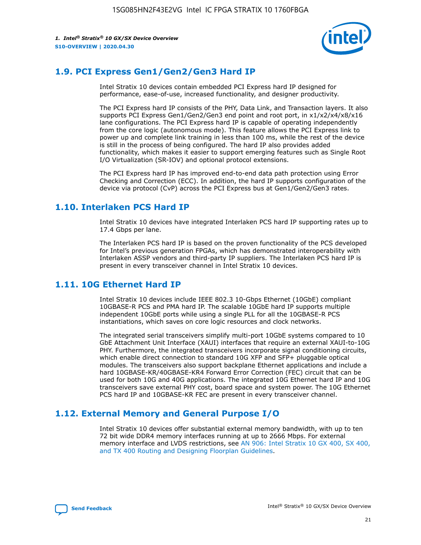

## **1.9. PCI Express Gen1/Gen2/Gen3 Hard IP**

Intel Stratix 10 devices contain embedded PCI Express hard IP designed for performance, ease-of-use, increased functionality, and designer productivity.

The PCI Express hard IP consists of the PHY, Data Link, and Transaction layers. It also supports PCI Express Gen1/Gen2/Gen3 end point and root port, in x1/x2/x4/x8/x16 lane configurations. The PCI Express hard IP is capable of operating independently from the core logic (autonomous mode). This feature allows the PCI Express link to power up and complete link training in less than 100 ms, while the rest of the device is still in the process of being configured. The hard IP also provides added functionality, which makes it easier to support emerging features such as Single Root I/O Virtualization (SR-IOV) and optional protocol extensions.

The PCI Express hard IP has improved end-to-end data path protection using Error Checking and Correction (ECC). In addition, the hard IP supports configuration of the device via protocol (CvP) across the PCI Express bus at Gen1/Gen2/Gen3 rates.

## **1.10. Interlaken PCS Hard IP**

Intel Stratix 10 devices have integrated Interlaken PCS hard IP supporting rates up to 17.4 Gbps per lane.

The Interlaken PCS hard IP is based on the proven functionality of the PCS developed for Intel's previous generation FPGAs, which has demonstrated interoperability with Interlaken ASSP vendors and third-party IP suppliers. The Interlaken PCS hard IP is present in every transceiver channel in Intel Stratix 10 devices.

## **1.11. 10G Ethernet Hard IP**

Intel Stratix 10 devices include IEEE 802.3 10-Gbps Ethernet (10GbE) compliant 10GBASE-R PCS and PMA hard IP. The scalable 10GbE hard IP supports multiple independent 10GbE ports while using a single PLL for all the 10GBASE-R PCS instantiations, which saves on core logic resources and clock networks.

The integrated serial transceivers simplify multi-port 10GbE systems compared to 10 GbE Attachment Unit Interface (XAUI) interfaces that require an external XAUI-to-10G PHY. Furthermore, the integrated transceivers incorporate signal conditioning circuits, which enable direct connection to standard 10G XFP and SFP+ pluggable optical modules. The transceivers also support backplane Ethernet applications and include a hard 10GBASE-KR/40GBASE-KR4 Forward Error Correction (FEC) circuit that can be used for both 10G and 40G applications. The integrated 10G Ethernet hard IP and 10G transceivers save external PHY cost, board space and system power. The 10G Ethernet PCS hard IP and 10GBASE-KR FEC are present in every transceiver channel.

## **1.12. External Memory and General Purpose I/O**

Intel Stratix 10 devices offer substantial external memory bandwidth, with up to ten 72 bit wide DDR4 memory interfaces running at up to 2666 Mbps. For external memory interface and LVDS restrictions, see [AN 906: Intel Stratix 10 GX 400, SX 400,](https://www.intel.com/content/www/us/en/programmable/documentation/sjf1574667190623.html#bft1574667627484) [and TX 400 Routing and Designing Floorplan Guidelines.](https://www.intel.com/content/www/us/en/programmable/documentation/sjf1574667190623.html#bft1574667627484)

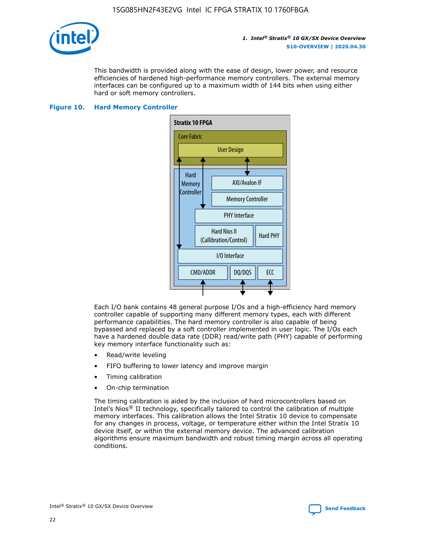

This bandwidth is provided along with the ease of design, lower power, and resource efficiencies of hardened high-performance memory controllers. The external memory interfaces can be configured up to a maximum width of 144 bits when using either hard or soft memory controllers.

#### **Figure 10. Hard Memory Controller**



Each I/O bank contains 48 general purpose I/Os and a high-efficiency hard memory controller capable of supporting many different memory types, each with different performance capabilities. The hard memory controller is also capable of being bypassed and replaced by a soft controller implemented in user logic. The I/Os each have a hardened double data rate (DDR) read/write path (PHY) capable of performing key memory interface functionality such as:

- Read/write leveling
- FIFO buffering to lower latency and improve margin
- Timing calibration
- On-chip termination

The timing calibration is aided by the inclusion of hard microcontrollers based on Intel's Nios® II technology, specifically tailored to control the calibration of multiple memory interfaces. This calibration allows the Intel Stratix 10 device to compensate for any changes in process, voltage, or temperature either within the Intel Stratix 10 device itself, or within the external memory device. The advanced calibration algorithms ensure maximum bandwidth and robust timing margin across all operating conditions.

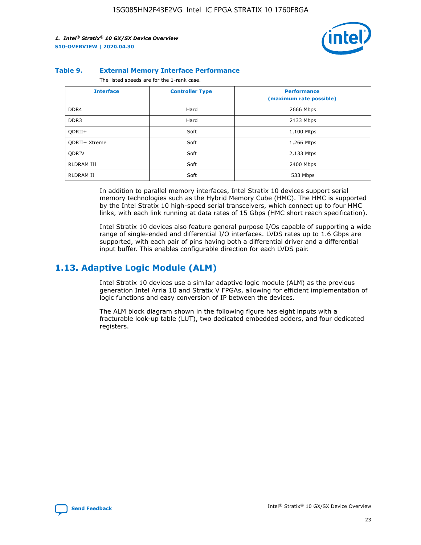

#### **Table 9. External Memory Interface Performance**

The listed speeds are for the 1-rank case.

| <b>Interface</b>     | <b>Controller Type</b> | <b>Performance</b><br>(maximum rate possible) |
|----------------------|------------------------|-----------------------------------------------|
| DDR4                 | Hard                   | 2666 Mbps                                     |
| DDR <sub>3</sub>     | Hard                   | 2133 Mbps                                     |
| QDRII+               | Soft                   | 1,100 Mtps                                    |
| <b>ODRII+ Xtreme</b> | Soft                   | 1,266 Mtps                                    |
| <b>ODRIV</b>         | Soft                   | 2,133 Mtps                                    |
| RLDRAM III           | Soft                   | 2400 Mbps                                     |
| <b>RLDRAM II</b>     | Soft                   | 533 Mbps                                      |

In addition to parallel memory interfaces, Intel Stratix 10 devices support serial memory technologies such as the Hybrid Memory Cube (HMC). The HMC is supported by the Intel Stratix 10 high-speed serial transceivers, which connect up to four HMC links, with each link running at data rates of 15 Gbps (HMC short reach specification).

Intel Stratix 10 devices also feature general purpose I/Os capable of supporting a wide range of single-ended and differential I/O interfaces. LVDS rates up to 1.6 Gbps are supported, with each pair of pins having both a differential driver and a differential input buffer. This enables configurable direction for each LVDS pair.

## **1.13. Adaptive Logic Module (ALM)**

Intel Stratix 10 devices use a similar adaptive logic module (ALM) as the previous generation Intel Arria 10 and Stratix V FPGAs, allowing for efficient implementation of logic functions and easy conversion of IP between the devices.

The ALM block diagram shown in the following figure has eight inputs with a fracturable look-up table (LUT), two dedicated embedded adders, and four dedicated registers.

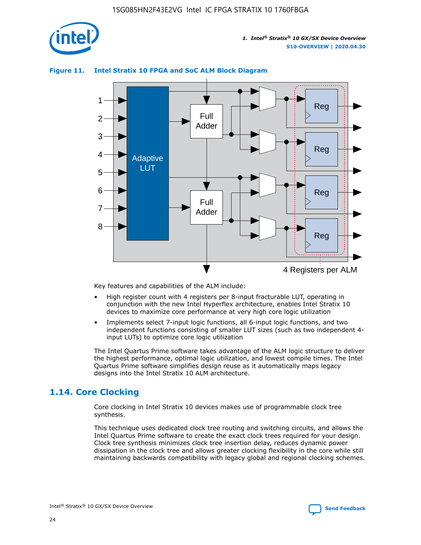

## **Figure 11. Intel Stratix 10 FPGA and SoC ALM Block Diagram**



Key features and capabilities of the ALM include:

- High register count with 4 registers per 8-input fracturable LUT, operating in conjunction with the new Intel Hyperflex architecture, enables Intel Stratix 10 devices to maximize core performance at very high core logic utilization
- Implements select 7-input logic functions, all 6-input logic functions, and two independent functions consisting of smaller LUT sizes (such as two independent 4 input LUTs) to optimize core logic utilization

The Intel Quartus Prime software takes advantage of the ALM logic structure to deliver the highest performance, optimal logic utilization, and lowest compile times. The Intel Quartus Prime software simplifies design reuse as it automatically maps legacy designs into the Intel Stratix 10 ALM architecture.

## **1.14. Core Clocking**

Core clocking in Intel Stratix 10 devices makes use of programmable clock tree synthesis.

This technique uses dedicated clock tree routing and switching circuits, and allows the Intel Quartus Prime software to create the exact clock trees required for your design. Clock tree synthesis minimizes clock tree insertion delay, reduces dynamic power dissipation in the clock tree and allows greater clocking flexibility in the core while still maintaining backwards compatibility with legacy global and regional clocking schemes.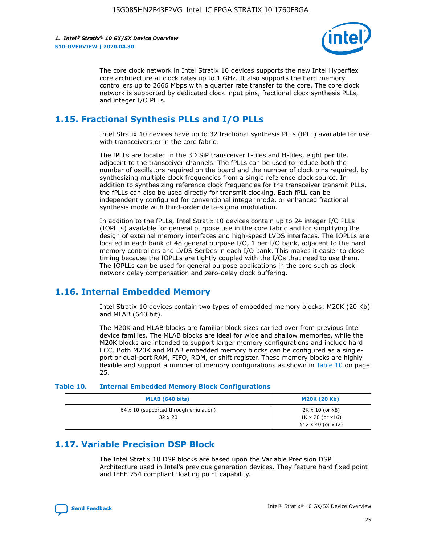

The core clock network in Intel Stratix 10 devices supports the new Intel Hyperflex core architecture at clock rates up to 1 GHz. It also supports the hard memory controllers up to 2666 Mbps with a quarter rate transfer to the core. The core clock network is supported by dedicated clock input pins, fractional clock synthesis PLLs, and integer I/O PLLs.

## **1.15. Fractional Synthesis PLLs and I/O PLLs**

Intel Stratix 10 devices have up to 32 fractional synthesis PLLs (fPLL) available for use with transceivers or in the core fabric.

The fPLLs are located in the 3D SiP transceiver L-tiles and H-tiles, eight per tile, adjacent to the transceiver channels. The fPLLs can be used to reduce both the number of oscillators required on the board and the number of clock pins required, by synthesizing multiple clock frequencies from a single reference clock source. In addition to synthesizing reference clock frequencies for the transceiver transmit PLLs, the fPLLs can also be used directly for transmit clocking. Each fPLL can be independently configured for conventional integer mode, or enhanced fractional synthesis mode with third-order delta-sigma modulation.

In addition to the fPLLs, Intel Stratix 10 devices contain up to 24 integer I/O PLLs (IOPLLs) available for general purpose use in the core fabric and for simplifying the design of external memory interfaces and high-speed LVDS interfaces. The IOPLLs are located in each bank of 48 general purpose I/O, 1 per I/O bank, adjacent to the hard memory controllers and LVDS SerDes in each I/O bank. This makes it easier to close timing because the IOPLLs are tightly coupled with the I/Os that need to use them. The IOPLLs can be used for general purpose applications in the core such as clock network delay compensation and zero-delay clock buffering.

## **1.16. Internal Embedded Memory**

Intel Stratix 10 devices contain two types of embedded memory blocks: M20K (20 Kb) and MLAB (640 bit).

The M20K and MLAB blocks are familiar block sizes carried over from previous Intel device families. The MLAB blocks are ideal for wide and shallow memories, while the M20K blocks are intended to support larger memory configurations and include hard ECC. Both M20K and MLAB embedded memory blocks can be configured as a singleport or dual-port RAM, FIFO, ROM, or shift register. These memory blocks are highly flexible and support a number of memory configurations as shown in Table 10 on page 25.

#### **Table 10. Internal Embedded Memory Block Configurations**

| MLAB (640 bits)                                                | <b>M20K (20 Kb)</b>                                                                    |
|----------------------------------------------------------------|----------------------------------------------------------------------------------------|
| $64 \times 10$ (supported through emulation)<br>$32 \times 20$ | $2K \times 10$ (or $x8$ )<br>$1K \times 20$ (or $x16$ )<br>$512 \times 40$ (or $x32$ ) |

## **1.17. Variable Precision DSP Block**

The Intel Stratix 10 DSP blocks are based upon the Variable Precision DSP Architecture used in Intel's previous generation devices. They feature hard fixed point and IEEE 754 compliant floating point capability.

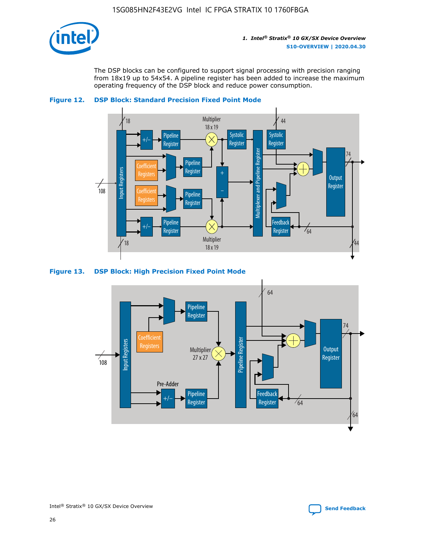

The DSP blocks can be configured to support signal processing with precision ranging from 18x19 up to 54x54. A pipeline register has been added to increase the maximum operating frequency of the DSP block and reduce power consumption.





#### **Figure 13. DSP Block: High Precision Fixed Point Mode**



Intel<sup>®</sup> Stratix<sup>®</sup> 10 GX/SX Device Overview **[Send Feedback](mailto:FPGAtechdocfeedback@intel.com?subject=Feedback%20on%20Intel%20Stratix%2010%20GX/SX%20Device%20Overview%20(S10-OVERVIEW%202020.04.30)&body=We%20appreciate%20your%20feedback.%20In%20your%20comments,%20also%20specify%20the%20page%20number%20or%20paragraph.%20Thank%20you.)** Send Feedback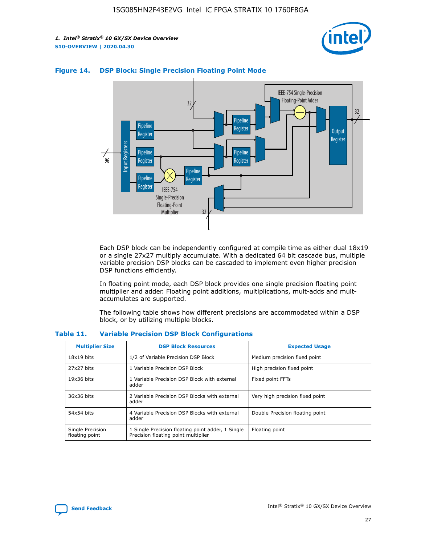



## **Figure 14. DSP Block: Single Precision Floating Point Mode**

Each DSP block can be independently configured at compile time as either dual 18x19 or a single 27x27 multiply accumulate. With a dedicated 64 bit cascade bus, multiple variable precision DSP blocks can be cascaded to implement even higher precision DSP functions efficiently.

In floating point mode, each DSP block provides one single precision floating point multiplier and adder. Floating point additions, multiplications, mult-adds and multaccumulates are supported.

The following table shows how different precisions are accommodated within a DSP block, or by utilizing multiple blocks.

| <b>Multiplier Size</b>             | <b>DSP Block Resources</b>                                                               | <b>Expected Usage</b>           |
|------------------------------------|------------------------------------------------------------------------------------------|---------------------------------|
| $18x19$ bits                       | 1/2 of Variable Precision DSP Block                                                      | Medium precision fixed point    |
| 27x27 bits                         | 1 Variable Precision DSP Block                                                           | High precision fixed point      |
| $19x36$ bits                       | 1 Variable Precision DSP Block with external<br>adder                                    | Fixed point FFTs                |
| 36x36 bits                         | 2 Variable Precision DSP Blocks with external<br>adder                                   | Very high precision fixed point |
| 54x54 bits                         | 4 Variable Precision DSP Blocks with external<br>adder                                   | Double Precision floating point |
| Single Precision<br>floating point | 1 Single Precision floating point adder, 1 Single<br>Precision floating point multiplier | Floating point                  |

#### **Table 11. Variable Precision DSP Block Configurations**

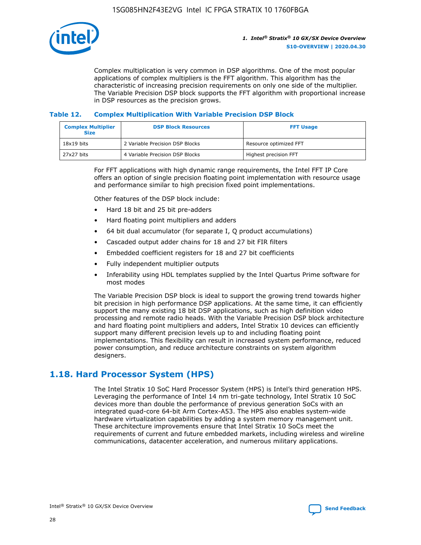

Complex multiplication is very common in DSP algorithms. One of the most popular applications of complex multipliers is the FFT algorithm. This algorithm has the characteristic of increasing precision requirements on only one side of the multiplier. The Variable Precision DSP block supports the FFT algorithm with proportional increase in DSP resources as the precision grows.

#### **Table 12. Complex Multiplication With Variable Precision DSP Block**

| <b>Complex Multiplier</b><br><b>Size</b> | <b>DSP Block Resources</b>      | <b>FFT Usage</b>       |
|------------------------------------------|---------------------------------|------------------------|
| $18x19$ bits                             | 2 Variable Precision DSP Blocks | Resource optimized FFT |
| $27x27$ bits                             | 4 Variable Precision DSP Blocks | Highest precision FFT  |

For FFT applications with high dynamic range requirements, the Intel FFT IP Core offers an option of single precision floating point implementation with resource usage and performance similar to high precision fixed point implementations.

Other features of the DSP block include:

- Hard 18 bit and 25 bit pre-adders
- Hard floating point multipliers and adders
- 64 bit dual accumulator (for separate I, Q product accumulations)
- Cascaded output adder chains for 18 and 27 bit FIR filters
- Embedded coefficient registers for 18 and 27 bit coefficients
- Fully independent multiplier outputs
- Inferability using HDL templates supplied by the Intel Quartus Prime software for most modes

The Variable Precision DSP block is ideal to support the growing trend towards higher bit precision in high performance DSP applications. At the same time, it can efficiently support the many existing 18 bit DSP applications, such as high definition video processing and remote radio heads. With the Variable Precision DSP block architecture and hard floating point multipliers and adders, Intel Stratix 10 devices can efficiently support many different precision levels up to and including floating point implementations. This flexibility can result in increased system performance, reduced power consumption, and reduce architecture constraints on system algorithm designers.

## **1.18. Hard Processor System (HPS)**

The Intel Stratix 10 SoC Hard Processor System (HPS) is Intel's third generation HPS. Leveraging the performance of Intel 14 nm tri-gate technology, Intel Stratix 10 SoC devices more than double the performance of previous generation SoCs with an integrated quad-core 64-bit Arm Cortex-A53. The HPS also enables system-wide hardware virtualization capabilities by adding a system memory management unit. These architecture improvements ensure that Intel Stratix 10 SoCs meet the requirements of current and future embedded markets, including wireless and wireline communications, datacenter acceleration, and numerous military applications.

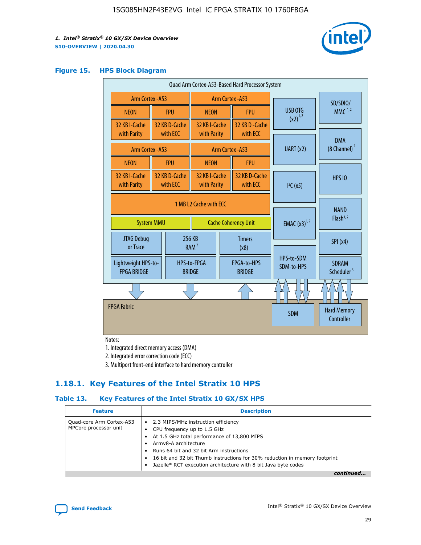

#### **Figure 15. HPS Block Diagram**

| Quad Arm Cortex-A53-Based Hard Processor System |                                                                            |                           |                                                     |                          |                                     |                          |                                        |
|-------------------------------------------------|----------------------------------------------------------------------------|---------------------------|-----------------------------------------------------|--------------------------|-------------------------------------|--------------------------|----------------------------------------|
| Arm Cortex - A53                                |                                                                            | Arm Cortex - A53          |                                                     |                          |                                     |                          | SD/SDIO/                               |
| <b>NEON</b>                                     |                                                                            | <b>FPU</b>                | <b>NEON</b>                                         |                          | <b>FPU</b>                          | USB OTG                  | $MMC$ <sup>1,2</sup>                   |
| 32 KB I-Cache<br>with Parity                    |                                                                            | 32 KB D-Cache<br>with ECC | 32 KB I-Cache<br>with Parity                        |                          | 32 KB D - Cache<br>with ECC         | $(x2)^{1,2}$             |                                        |
| Arm Cortex - A53                                |                                                                            |                           |                                                     |                          | Arm Cortex - A53                    | UART(x2)                 | <b>DMA</b><br>$(8 \text{ Channel})^2$  |
| <b>NEON</b>                                     |                                                                            | <b>FPU</b>                | <b>NEON</b>                                         |                          | <b>FPU</b>                          |                          |                                        |
| 32 KB I-Cache<br>with Parity                    |                                                                            | 32 KB D-Cache<br>with ECC | 32 KB I-Cache<br>with Parity<br>with ECC            |                          | 32 KB D-Cache                       | I <sup>2</sup> C(x5)     | <b>HPS 10</b>                          |
|                                                 | 1 MB L2 Cache with ECC<br><b>System MMU</b><br><b>Cache Coherency Unit</b> |                           |                                                     | <b>EMAC</b> $(x3)^{1,2}$ | <b>NAND</b><br>Flash <sup>1,2</sup> |                          |                                        |
| JTAG Debug<br>or Trace                          |                                                                            |                           | 256 KB<br><b>Timers</b><br>RAM <sup>2</sup><br>(x8) |                          |                                     | SPI(x4)                  |                                        |
| Lightweight HPS-to-<br><b>FPGA BRIDGE</b>       |                                                                            |                           | HPS-to-FPGA<br><b>BRIDGE</b>                        |                          | FPGA-to-HPS<br><b>BRIDGE</b>        | HPS-to-SDM<br>SDM-to-HPS | <b>SDRAM</b><br>Scheduler <sup>3</sup> |
|                                                 |                                                                            |                           |                                                     |                          |                                     |                          |                                        |
| <b>FPGA Fabric</b>                              |                                                                            |                           |                                                     |                          |                                     | <b>SDM</b>               | <b>Hard Memory</b><br>Controller       |

Notes:

1. Integrated direct memory access (DMA)

2. Integrated error correction code (ECC)

3. Multiport front-end interface to hard memory controller

## **1.18.1. Key Features of the Intel Stratix 10 HPS**

## **Table 13. Key Features of the Intel Stratix 10 GX/SX HPS**

| <b>Feature</b>                                    | <b>Description</b>                                                                                                                                                                                                                                                                                                                                     |
|---------------------------------------------------|--------------------------------------------------------------------------------------------------------------------------------------------------------------------------------------------------------------------------------------------------------------------------------------------------------------------------------------------------------|
| Quad-core Arm Cortex-A53<br>MPCore processor unit | 2.3 MIPS/MHz instruction efficiency<br>$\bullet$<br>CPU frequency up to 1.5 GHz<br>٠<br>At 1.5 GHz total performance of 13,800 MIPS<br>Army8-A architecture<br>Runs 64 bit and 32 bit Arm instructions<br>16 bit and 32 bit Thumb instructions for 30% reduction in memory footprint<br>Jazelle* RCT execution architecture with 8 bit Java byte codes |
|                                                   |                                                                                                                                                                                                                                                                                                                                                        |

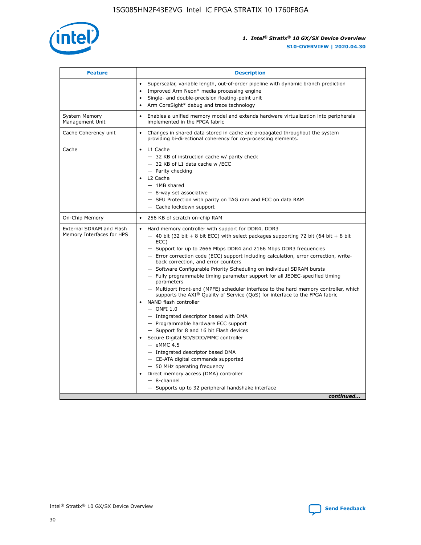

| <b>Feature</b>                                        | <b>Description</b>                                                                                                                                                                                                                                                                                                                                                                                                                                                                                                                                                                                                                                                                                                                                                                                                                                                                                                                                                                                                                                                                                                                                                                                               |  |  |
|-------------------------------------------------------|------------------------------------------------------------------------------------------------------------------------------------------------------------------------------------------------------------------------------------------------------------------------------------------------------------------------------------------------------------------------------------------------------------------------------------------------------------------------------------------------------------------------------------------------------------------------------------------------------------------------------------------------------------------------------------------------------------------------------------------------------------------------------------------------------------------------------------------------------------------------------------------------------------------------------------------------------------------------------------------------------------------------------------------------------------------------------------------------------------------------------------------------------------------------------------------------------------------|--|--|
|                                                       | Superscalar, variable length, out-of-order pipeline with dynamic branch prediction<br>Improved Arm Neon* media processing engine<br>Single- and double-precision floating-point unit<br>Arm CoreSight* debug and trace technology<br>٠                                                                                                                                                                                                                                                                                                                                                                                                                                                                                                                                                                                                                                                                                                                                                                                                                                                                                                                                                                           |  |  |
| <b>System Memory</b><br>Management Unit               | Enables a unified memory model and extends hardware virtualization into peripherals<br>implemented in the FPGA fabric                                                                                                                                                                                                                                                                                                                                                                                                                                                                                                                                                                                                                                                                                                                                                                                                                                                                                                                                                                                                                                                                                            |  |  |
| Cache Coherency unit                                  | Changes in shared data stored in cache are propagated throughout the system<br>$\bullet$<br>providing bi-directional coherency for co-processing elements.                                                                                                                                                                                                                                                                                                                                                                                                                                                                                                                                                                                                                                                                                                                                                                                                                                                                                                                                                                                                                                                       |  |  |
| Cache                                                 | L1 Cache<br>$\bullet$<br>- 32 KB of instruction cache w/ parity check<br>- 32 KB of L1 data cache w /ECC<br>- Parity checking<br>L <sub>2</sub> Cache<br>$-$ 1MB shared<br>$-$ 8-way set associative<br>- SEU Protection with parity on TAG ram and ECC on data RAM<br>- Cache lockdown support                                                                                                                                                                                                                                                                                                                                                                                                                                                                                                                                                                                                                                                                                                                                                                                                                                                                                                                  |  |  |
| On-Chip Memory                                        | 256 KB of scratch on-chip RAM                                                                                                                                                                                                                                                                                                                                                                                                                                                                                                                                                                                                                                                                                                                                                                                                                                                                                                                                                                                                                                                                                                                                                                                    |  |  |
| External SDRAM and Flash<br>Memory Interfaces for HPS | Hard memory controller with support for DDR4, DDR3<br>$\bullet$<br>$-$ 40 bit (32 bit + 8 bit ECC) with select packages supporting 72 bit (64 bit + 8 bit<br>ECC)<br>- Support for up to 2666 Mbps DDR4 and 2166 Mbps DDR3 frequencies<br>- Error correction code (ECC) support including calculation, error correction, write-<br>back correction, and error counters<br>- Software Configurable Priority Scheduling on individual SDRAM bursts<br>- Fully programmable timing parameter support for all JEDEC-specified timing<br>parameters<br>- Multiport front-end (MPFE) scheduler interface to the hard memory controller, which<br>supports the $AXI^{\circledR}$ Quality of Service (QoS) for interface to the FPGA fabric<br>NAND flash controller<br>$-$ ONFI 1.0<br>- Integrated descriptor based with DMA<br>- Programmable hardware ECC support<br>- Support for 8 and 16 bit Flash devices<br>Secure Digital SD/SDIO/MMC controller<br>$-$ eMMC 4.5<br>- Integrated descriptor based DMA<br>- CE-ATA digital commands supported<br>- 50 MHz operating frequency<br>Direct memory access (DMA) controller<br>٠<br>$-$ 8-channel<br>- Supports up to 32 peripheral handshake interface<br>continued |  |  |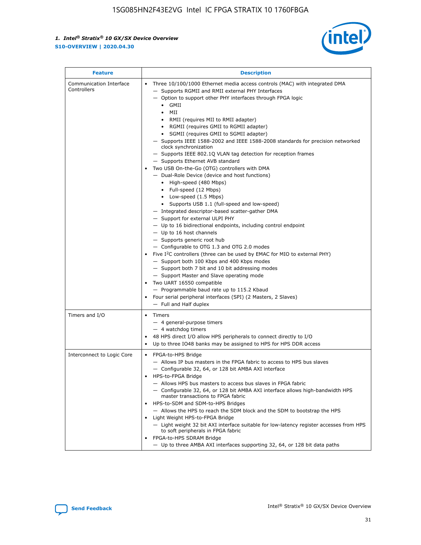

| <b>Feature</b>                         | <b>Description</b>                                                                                                                                                                                                                                                                                                                                                                                                                                                                                                                                                                                                                                                                                                                                                                                                                                                                                                                                                                                                                                                                                                                                                                                                                                                                                                                                                                                                                                                                                                     |
|----------------------------------------|------------------------------------------------------------------------------------------------------------------------------------------------------------------------------------------------------------------------------------------------------------------------------------------------------------------------------------------------------------------------------------------------------------------------------------------------------------------------------------------------------------------------------------------------------------------------------------------------------------------------------------------------------------------------------------------------------------------------------------------------------------------------------------------------------------------------------------------------------------------------------------------------------------------------------------------------------------------------------------------------------------------------------------------------------------------------------------------------------------------------------------------------------------------------------------------------------------------------------------------------------------------------------------------------------------------------------------------------------------------------------------------------------------------------------------------------------------------------------------------------------------------------|
| Communication Interface<br>Controllers | Three 10/100/1000 Ethernet media access controls (MAC) with integrated DMA<br>$\bullet$<br>- Supports RGMII and RMII external PHY Interfaces<br>- Option to support other PHY interfaces through FPGA logic<br>$\bullet$ GMII<br>MII<br>$\bullet$<br>RMII (requires MII to RMII adapter)<br>$\bullet$<br>• RGMII (requires GMII to RGMII adapter)<br>SGMII (requires GMII to SGMII adapter)<br>- Supports IEEE 1588-2002 and IEEE 1588-2008 standards for precision networked<br>clock synchronization<br>- Supports IEEE 802.1Q VLAN tag detection for reception frames<br>- Supports Ethernet AVB standard<br>Two USB On-the-Go (OTG) controllers with DMA<br>- Dual-Role Device (device and host functions)<br>• High-speed (480 Mbps)<br>• Full-speed (12 Mbps)<br>• Low-speed (1.5 Mbps)<br>• Supports USB 1.1 (full-speed and low-speed)<br>- Integrated descriptor-based scatter-gather DMA<br>- Support for external ULPI PHY<br>- Up to 16 bidirectional endpoints, including control endpoint<br>$-$ Up to 16 host channels<br>- Supports generic root hub<br>- Configurable to OTG 1.3 and OTG 2.0 modes<br>Five $I2C$ controllers (three can be used by EMAC for MIO to external PHY)<br>- Support both 100 Kbps and 400 Kbps modes<br>- Support both 7 bit and 10 bit addressing modes<br>- Support Master and Slave operating mode<br>Two UART 16550 compatible<br>- Programmable baud rate up to 115.2 Kbaud<br>Four serial peripheral interfaces (SPI) (2 Masters, 2 Slaves)<br>- Full and Half duplex |
| Timers and I/O                         | Timers<br>$\bullet$<br>- 4 general-purpose timers<br>$-4$ watchdog timers<br>48 HPS direct I/O allow HPS peripherals to connect directly to I/O<br>Up to three IO48 banks may be assigned to HPS for HPS DDR access                                                                                                                                                                                                                                                                                                                                                                                                                                                                                                                                                                                                                                                                                                                                                                                                                                                                                                                                                                                                                                                                                                                                                                                                                                                                                                    |
| Interconnect to Logic Core             | • FPGA-to-HPS Bridge<br>- Allows IP bus masters in the FPGA fabric to access to HPS bus slaves<br>- Configurable 32, 64, or 128 bit AMBA AXI interface<br>HPS-to-FPGA Bridge<br>- Allows HPS bus masters to access bus slaves in FPGA fabric<br>- Configurable 32, 64, or 128 bit AMBA AXI interface allows high-bandwidth HPS<br>master transactions to FPGA fabric<br>HPS-to-SDM and SDM-to-HPS Bridges<br>- Allows the HPS to reach the SDM block and the SDM to bootstrap the HPS<br>Light Weight HPS-to-FPGA Bridge<br>- Light weight 32 bit AXI interface suitable for low-latency register accesses from HPS<br>to soft peripherals in FPGA fabric<br>FPGA-to-HPS SDRAM Bridge<br>- Up to three AMBA AXI interfaces supporting 32, 64, or 128 bit data paths                                                                                                                                                                                                                                                                                                                                                                                                                                                                                                                                                                                                                                                                                                                                                    |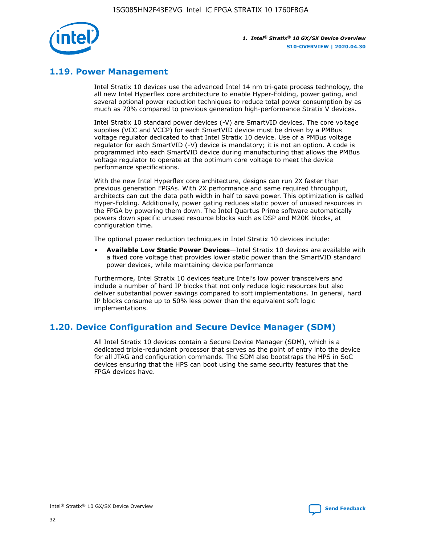

## **1.19. Power Management**

Intel Stratix 10 devices use the advanced Intel 14 nm tri-gate process technology, the all new Intel Hyperflex core architecture to enable Hyper-Folding, power gating, and several optional power reduction techniques to reduce total power consumption by as much as 70% compared to previous generation high-performance Stratix V devices.

Intel Stratix 10 standard power devices (-V) are SmartVID devices. The core voltage supplies (VCC and VCCP) for each SmartVID device must be driven by a PMBus voltage regulator dedicated to that Intel Stratix 10 device. Use of a PMBus voltage regulator for each SmartVID (-V) device is mandatory; it is not an option. A code is programmed into each SmartVID device during manufacturing that allows the PMBus voltage regulator to operate at the optimum core voltage to meet the device performance specifications.

With the new Intel Hyperflex core architecture, designs can run 2X faster than previous generation FPGAs. With 2X performance and same required throughput, architects can cut the data path width in half to save power. This optimization is called Hyper-Folding. Additionally, power gating reduces static power of unused resources in the FPGA by powering them down. The Intel Quartus Prime software automatically powers down specific unused resource blocks such as DSP and M20K blocks, at configuration time.

The optional power reduction techniques in Intel Stratix 10 devices include:

• **Available Low Static Power Devices**—Intel Stratix 10 devices are available with a fixed core voltage that provides lower static power than the SmartVID standard power devices, while maintaining device performance

Furthermore, Intel Stratix 10 devices feature Intel's low power transceivers and include a number of hard IP blocks that not only reduce logic resources but also deliver substantial power savings compared to soft implementations. In general, hard IP blocks consume up to 50% less power than the equivalent soft logic implementations.

## **1.20. Device Configuration and Secure Device Manager (SDM)**

All Intel Stratix 10 devices contain a Secure Device Manager (SDM), which is a dedicated triple-redundant processor that serves as the point of entry into the device for all JTAG and configuration commands. The SDM also bootstraps the HPS in SoC devices ensuring that the HPS can boot using the same security features that the FPGA devices have.

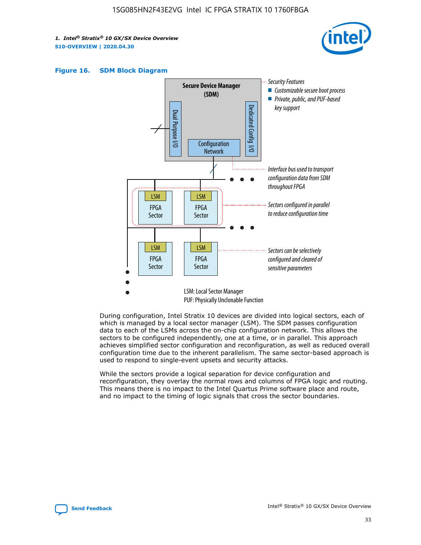





During configuration, Intel Stratix 10 devices are divided into logical sectors, each of which is managed by a local sector manager (LSM). The SDM passes configuration data to each of the LSMs across the on-chip configuration network. This allows the sectors to be configured independently, one at a time, or in parallel. This approach achieves simplified sector configuration and reconfiguration, as well as reduced overall configuration time due to the inherent parallelism. The same sector-based approach is used to respond to single-event upsets and security attacks.

While the sectors provide a logical separation for device configuration and reconfiguration, they overlay the normal rows and columns of FPGA logic and routing. This means there is no impact to the Intel Quartus Prime software place and route, and no impact to the timing of logic signals that cross the sector boundaries.

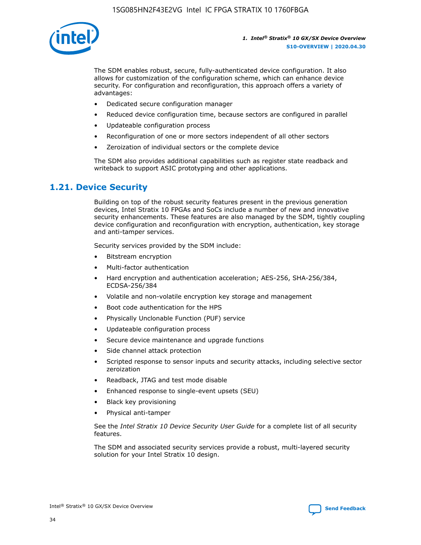

The SDM enables robust, secure, fully-authenticated device configuration. It also allows for customization of the configuration scheme, which can enhance device security. For configuration and reconfiguration, this approach offers a variety of advantages:

- Dedicated secure configuration manager
- Reduced device configuration time, because sectors are configured in parallel
- Updateable configuration process
- Reconfiguration of one or more sectors independent of all other sectors
- Zeroization of individual sectors or the complete device

The SDM also provides additional capabilities such as register state readback and writeback to support ASIC prototyping and other applications.

## **1.21. Device Security**

Building on top of the robust security features present in the previous generation devices, Intel Stratix 10 FPGAs and SoCs include a number of new and innovative security enhancements. These features are also managed by the SDM, tightly coupling device configuration and reconfiguration with encryption, authentication, key storage and anti-tamper services.

Security services provided by the SDM include:

- Bitstream encryption
- Multi-factor authentication
- Hard encryption and authentication acceleration; AES-256, SHA-256/384, ECDSA-256/384
- Volatile and non-volatile encryption key storage and management
- Boot code authentication for the HPS
- Physically Unclonable Function (PUF) service
- Updateable configuration process
- Secure device maintenance and upgrade functions
- Side channel attack protection
- Scripted response to sensor inputs and security attacks, including selective sector zeroization
- Readback, JTAG and test mode disable
- Enhanced response to single-event upsets (SEU)
- Black key provisioning
- Physical anti-tamper

See the *Intel Stratix 10 Device Security User Guide* for a complete list of all security features.

The SDM and associated security services provide a robust, multi-layered security solution for your Intel Stratix 10 design.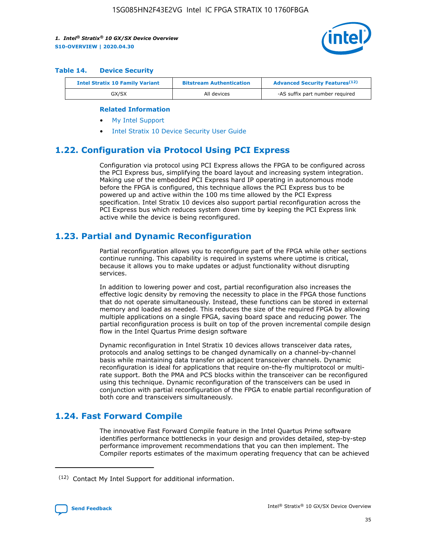

#### **Table 14. Device Security**

| <b>Intel Stratix 10 Family Variant</b> | <b>Bitstream Authentication</b> | <b>Advanced Security Features</b> <sup>(12)</sup> |
|----------------------------------------|---------------------------------|---------------------------------------------------|
| GX/SX                                  | All devices                     | -AS suffix part number required                   |

#### **Related Information**

- [My Intel Support](https://www.intel.com/content/www/us/en/programmable/my-intel/mal-home.html)
- [Intel Stratix 10 Device Security User Guide](https://www.intel.com/content/www/us/en/programmable/documentation/ndq1483601370898.html#wcd1483611014402)

## **1.22. Configuration via Protocol Using PCI Express**

Configuration via protocol using PCI Express allows the FPGA to be configured across the PCI Express bus, simplifying the board layout and increasing system integration. Making use of the embedded PCI Express hard IP operating in autonomous mode before the FPGA is configured, this technique allows the PCI Express bus to be powered up and active within the 100 ms time allowed by the PCI Express specification. Intel Stratix 10 devices also support partial reconfiguration across the PCI Express bus which reduces system down time by keeping the PCI Express link active while the device is being reconfigured.

## **1.23. Partial and Dynamic Reconfiguration**

Partial reconfiguration allows you to reconfigure part of the FPGA while other sections continue running. This capability is required in systems where uptime is critical, because it allows you to make updates or adjust functionality without disrupting services.

In addition to lowering power and cost, partial reconfiguration also increases the effective logic density by removing the necessity to place in the FPGA those functions that do not operate simultaneously. Instead, these functions can be stored in external memory and loaded as needed. This reduces the size of the required FPGA by allowing multiple applications on a single FPGA, saving board space and reducing power. The partial reconfiguration process is built on top of the proven incremental compile design flow in the Intel Quartus Prime design software

Dynamic reconfiguration in Intel Stratix 10 devices allows transceiver data rates, protocols and analog settings to be changed dynamically on a channel-by-channel basis while maintaining data transfer on adjacent transceiver channels. Dynamic reconfiguration is ideal for applications that require on-the-fly multiprotocol or multirate support. Both the PMA and PCS blocks within the transceiver can be reconfigured using this technique. Dynamic reconfiguration of the transceivers can be used in conjunction with partial reconfiguration of the FPGA to enable partial reconfiguration of both core and transceivers simultaneously.

## **1.24. Fast Forward Compile**

The innovative Fast Forward Compile feature in the Intel Quartus Prime software identifies performance bottlenecks in your design and provides detailed, step-by-step performance improvement recommendations that you can then implement. The Compiler reports estimates of the maximum operating frequency that can be achieved

<sup>(12)</sup> Contact My Intel Support for additional information.

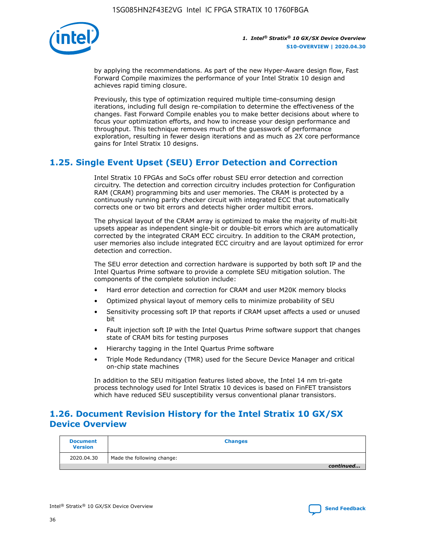

by applying the recommendations. As part of the new Hyper-Aware design flow, Fast Forward Compile maximizes the performance of your Intel Stratix 10 design and achieves rapid timing closure.

Previously, this type of optimization required multiple time-consuming design iterations, including full design re-compilation to determine the effectiveness of the changes. Fast Forward Compile enables you to make better decisions about where to focus your optimization efforts, and how to increase your design performance and throughput. This technique removes much of the guesswork of performance exploration, resulting in fewer design iterations and as much as 2X core performance gains for Intel Stratix 10 designs.

## **1.25. Single Event Upset (SEU) Error Detection and Correction**

Intel Stratix 10 FPGAs and SoCs offer robust SEU error detection and correction circuitry. The detection and correction circuitry includes protection for Configuration RAM (CRAM) programming bits and user memories. The CRAM is protected by a continuously running parity checker circuit with integrated ECC that automatically corrects one or two bit errors and detects higher order multibit errors.

The physical layout of the CRAM array is optimized to make the majority of multi-bit upsets appear as independent single-bit or double-bit errors which are automatically corrected by the integrated CRAM ECC circuitry. In addition to the CRAM protection, user memories also include integrated ECC circuitry and are layout optimized for error detection and correction.

The SEU error detection and correction hardware is supported by both soft IP and the Intel Quartus Prime software to provide a complete SEU mitigation solution. The components of the complete solution include:

- Hard error detection and correction for CRAM and user M20K memory blocks
- Optimized physical layout of memory cells to minimize probability of SEU
- Sensitivity processing soft IP that reports if CRAM upset affects a used or unused bit
- Fault injection soft IP with the Intel Quartus Prime software support that changes state of CRAM bits for testing purposes
- Hierarchy tagging in the Intel Quartus Prime software
- Triple Mode Redundancy (TMR) used for the Secure Device Manager and critical on-chip state machines

In addition to the SEU mitigation features listed above, the Intel 14 nm tri-gate process technology used for Intel Stratix 10 devices is based on FinFET transistors which have reduced SEU susceptibility versus conventional planar transistors.

## **1.26. Document Revision History for the Intel Stratix 10 GX/SX Device Overview**

| <b>Document</b><br><b>Version</b> | <b>Changes</b>             |
|-----------------------------------|----------------------------|
| 2020.04.30                        | Made the following change: |
|                                   | continued                  |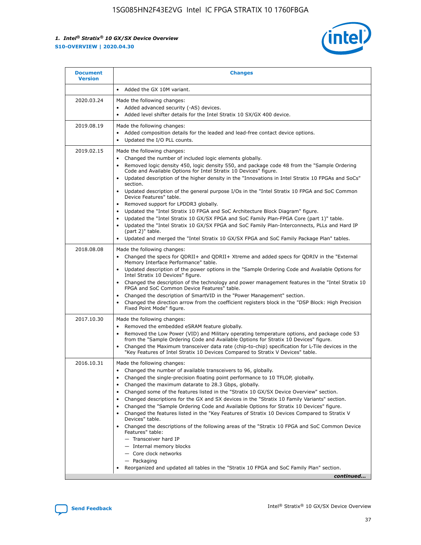

| <b>Document</b><br><b>Version</b> | <b>Changes</b>                                                                                                                                                                                                                                                                                                                                                                                                                                                                                                                                                                                                                                                                                                                                                                                                                                                                                                                                                                                              |
|-----------------------------------|-------------------------------------------------------------------------------------------------------------------------------------------------------------------------------------------------------------------------------------------------------------------------------------------------------------------------------------------------------------------------------------------------------------------------------------------------------------------------------------------------------------------------------------------------------------------------------------------------------------------------------------------------------------------------------------------------------------------------------------------------------------------------------------------------------------------------------------------------------------------------------------------------------------------------------------------------------------------------------------------------------------|
|                                   | Added the GX 10M variant.                                                                                                                                                                                                                                                                                                                                                                                                                                                                                                                                                                                                                                                                                                                                                                                                                                                                                                                                                                                   |
| 2020.03.24                        | Made the following changes:<br>Added advanced security (-AS) devices.<br>Added level shifter details for the Intel Stratix 10 SX/GX 400 device.                                                                                                                                                                                                                                                                                                                                                                                                                                                                                                                                                                                                                                                                                                                                                                                                                                                             |
| 2019.08.19                        | Made the following changes:<br>Added composition details for the leaded and lead-free contact device options.<br>$\bullet$<br>Updated the I/O PLL counts.                                                                                                                                                                                                                                                                                                                                                                                                                                                                                                                                                                                                                                                                                                                                                                                                                                                   |
| 2019.02.15                        | Made the following changes:<br>Changed the number of included logic elements globally.<br>$\bullet$<br>Removed logic density 450, logic density 550, and package code 48 from the "Sample Ordering<br>$\bullet$<br>Code and Available Options for Intel Stratix 10 Devices" figure.<br>Updated description of the higher density in the "Innovations in Intel Stratix 10 FPGAs and SoCs"<br>section.<br>Updated description of the general purpose I/Os in the "Intel Stratix 10 FPGA and SoC Common<br>$\bullet$<br>Device Features" table.<br>Removed support for LPDDR3 globally.<br>Updated the "Intel Stratix 10 FPGA and SoC Architecture Block Diagram" figure.<br>$\bullet$<br>Updated the "Intel Stratix 10 GX/SX FPGA and SoC Family Plan-FPGA Core (part 1)" table.<br>$\bullet$<br>Updated the "Intel Stratix 10 GX/SX FPGA and SoC Family Plan-Interconnects, PLLs and Hard IP<br>(part 2)" table.<br>Updated and merged the "Intel Stratix 10 GX/SX FPGA and SoC Family Package Plan" tables. |
| 2018.08.08                        | Made the following changes:<br>Changed the specs for QDRII+ and QDRII+ Xtreme and added specs for QDRIV in the "External<br>$\bullet$<br>Memory Interface Performance" table.<br>Updated description of the power options in the "Sample Ordering Code and Available Options for<br>Intel Stratix 10 Devices" figure.<br>Changed the description of the technology and power management features in the "Intel Stratix 10<br>FPGA and SoC Common Device Features" table.<br>Changed the description of SmartVID in the "Power Management" section.<br>Changed the direction arrow from the coefficient registers block in the "DSP Block: High Precision<br>$\bullet$<br>Fixed Point Mode" figure.                                                                                                                                                                                                                                                                                                          |
| 2017.10.30                        | Made the following changes:<br>Removed the embedded eSRAM feature globally.<br>$\bullet$<br>Removed the Low Power (VID) and Military operating temperature options, and package code 53<br>$\bullet$<br>from the "Sample Ordering Code and Available Options for Stratix 10 Devices" figure.<br>Changed the Maximum transceiver data rate (chip-to-chip) specification for L-Tile devices in the<br>"Key Features of Intel Stratix 10 Devices Compared to Stratix V Devices" table.                                                                                                                                                                                                                                                                                                                                                                                                                                                                                                                         |
| 2016.10.31                        | Made the following changes:<br>• Changed the number of available transceivers to 96, globally.<br>Changed the single-precision floating point performance to 10 TFLOP, globally.<br>Changed the maximum datarate to 28.3 Gbps, globally.<br>٠<br>Changed some of the features listed in the "Stratix 10 GX/SX Device Overview" section.<br>$\bullet$<br>Changed descriptions for the GX and SX devices in the "Stratix 10 Family Variants" section.<br>$\bullet$<br>Changed the "Sample Ordering Code and Available Options for Stratix 10 Devices" figure.<br>Changed the features listed in the "Key Features of Stratix 10 Devices Compared to Stratix V<br>Devices" table.<br>Changed the descriptions of the following areas of the "Stratix 10 FPGA and SoC Common Device<br>Features" table:<br>- Transceiver hard IP<br>- Internal memory blocks<br>- Core clock networks<br>- Packaging<br>Reorganized and updated all tables in the "Stratix 10 FPGA and SoC Family Plan" section.                |
|                                   | continued                                                                                                                                                                                                                                                                                                                                                                                                                                                                                                                                                                                                                                                                                                                                                                                                                                                                                                                                                                                                   |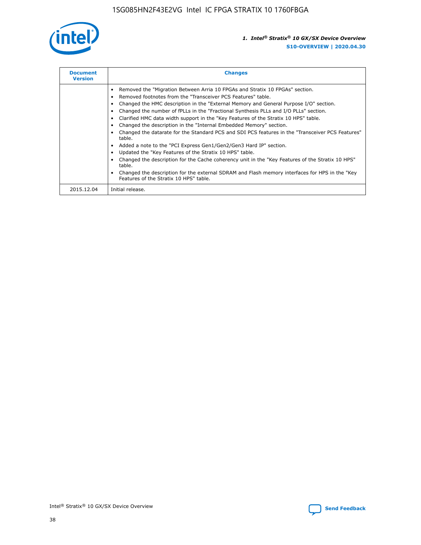

| <b>Document</b><br><b>Version</b> | <b>Changes</b>                                                                                                                                                                                                                                                                                                                                                                                                                                                                                                                                                                                                                                                                                                                                                                                                                                                                                                                                                                                     |  |
|-----------------------------------|----------------------------------------------------------------------------------------------------------------------------------------------------------------------------------------------------------------------------------------------------------------------------------------------------------------------------------------------------------------------------------------------------------------------------------------------------------------------------------------------------------------------------------------------------------------------------------------------------------------------------------------------------------------------------------------------------------------------------------------------------------------------------------------------------------------------------------------------------------------------------------------------------------------------------------------------------------------------------------------------------|--|
|                                   | Removed the "Migration Between Arria 10 FPGAs and Stratix 10 FPGAs" section.<br>Removed footnotes from the "Transceiver PCS Features" table.<br>Changed the HMC description in the "External Memory and General Purpose I/O" section.<br>Changed the number of fPLLs in the "Fractional Synthesis PLLs and I/O PLLs" section.<br>Clarified HMC data width support in the "Key Features of the Stratix 10 HPS" table.<br>Changed the description in the "Internal Embedded Memory" section.<br>Changed the datarate for the Standard PCS and SDI PCS features in the "Transceiver PCS Features"<br>table.<br>Added a note to the "PCI Express Gen1/Gen2/Gen3 Hard IP" section.<br>Updated the "Key Features of the Stratix 10 HPS" table.<br>Changed the description for the Cache coherency unit in the "Key Features of the Stratix 10 HPS"<br>table.<br>Changed the description for the external SDRAM and Flash memory interfaces for HPS in the "Key<br>Features of the Stratix 10 HPS" table. |  |
| 2015.12.04                        | Initial release.                                                                                                                                                                                                                                                                                                                                                                                                                                                                                                                                                                                                                                                                                                                                                                                                                                                                                                                                                                                   |  |